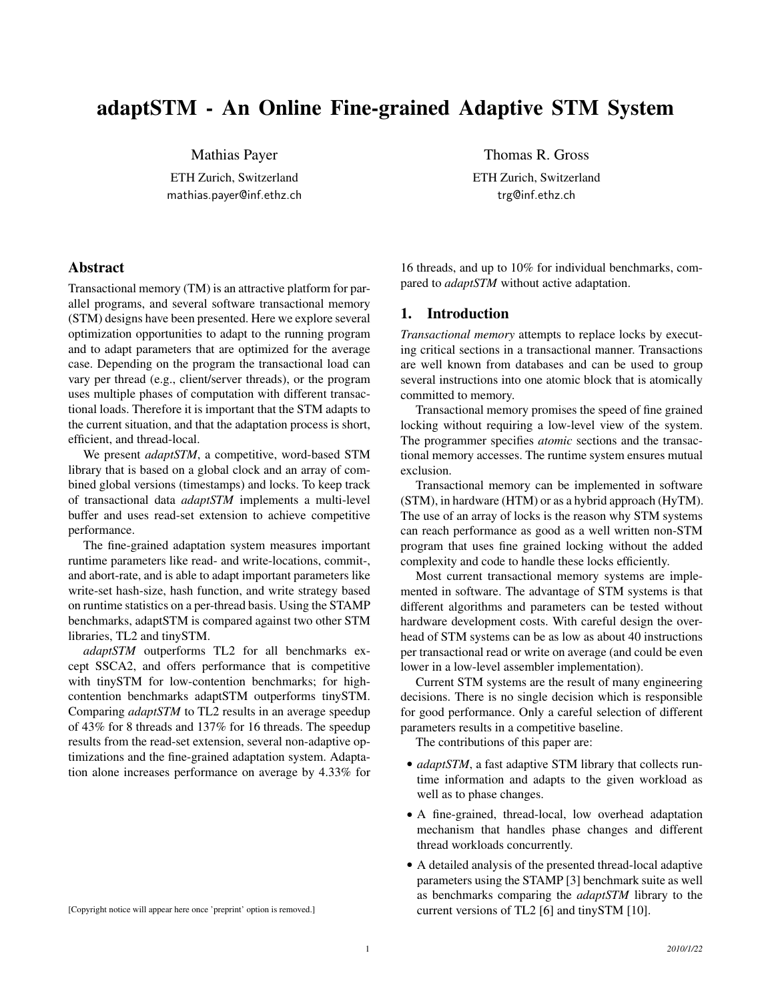# adaptSTM - An Online Fine-grained Adaptive STM System

Mathias Payer

ETH Zurich, Switzerland mathias.payer@inf.ethz.ch

**Abstract** 

Transactional memory (TM) is an attractive platform for parallel programs, and several software transactional memory (STM) designs have been presented. Here we explore several optimization opportunities to adapt to the running program and to adapt parameters that are optimized for the average case. Depending on the program the transactional load can vary per thread (e.g., client/server threads), or the program uses multiple phases of computation with different transactional loads. Therefore it is important that the STM adapts to the current situation, and that the adaptation process is short, efficient, and thread-local.

We present *adaptSTM*, a competitive, word-based STM library that is based on a global clock and an array of combined global versions (timestamps) and locks. To keep track of transactional data *adaptSTM* implements a multi-level buffer and uses read-set extension to achieve competitive performance.

The fine-grained adaptation system measures important runtime parameters like read- and write-locations, commit-, and abort-rate, and is able to adapt important parameters like write-set hash-size, hash function, and write strategy based on runtime statistics on a per-thread basis. Using the STAMP benchmarks, adaptSTM is compared against two other STM libraries, TL2 and tinySTM.

*adaptSTM* outperforms TL2 for all benchmarks except SSCA2, and offers performance that is competitive with tinySTM for low-contention benchmarks; for highcontention benchmarks adaptSTM outperforms tinySTM. Comparing *adaptSTM* to TL2 results in an average speedup of 43% for 8 threads and 137% for 16 threads. The speedup results from the read-set extension, several non-adaptive optimizations and the fine-grained adaptation system. Adaptation alone increases performance on average by 4.33% for

[Copyright notice will appear here once 'preprint' option is removed.]

Thomas R. Gross

ETH Zurich, Switzerland trg@inf.ethz.ch

16 threads, and up to 10% for individual benchmarks, compared to *adaptSTM* without active adaptation.

# 1. Introduction

*Transactional memory* attempts to replace locks by executing critical sections in a transactional manner. Transactions are well known from databases and can be used to group several instructions into one atomic block that is atomically committed to memory.

Transactional memory promises the speed of fine grained locking without requiring a low-level view of the system. The programmer specifies *atomic* sections and the transactional memory accesses. The runtime system ensures mutual exclusion.

Transactional memory can be implemented in software (STM), in hardware (HTM) or as a hybrid approach (HyTM). The use of an array of locks is the reason why STM systems can reach performance as good as a well written non-STM program that uses fine grained locking without the added complexity and code to handle these locks efficiently.

Most current transactional memory systems are implemented in software. The advantage of STM systems is that different algorithms and parameters can be tested without hardware development costs. With careful design the overhead of STM systems can be as low as about 40 instructions per transactional read or write on average (and could be even lower in a low-level assembler implementation).

Current STM systems are the result of many engineering decisions. There is no single decision which is responsible for good performance. Only a careful selection of different parameters results in a competitive baseline.

The contributions of this paper are:

- *adaptSTM*, a fast adaptive STM library that collects runtime information and adapts to the given workload as well as to phase changes.
- A fine-grained, thread-local, low overhead adaptation mechanism that handles phase changes and different thread workloads concurrently.
- A detailed analysis of the presented thread-local adaptive parameters using the STAMP [3] benchmark suite as well as benchmarks comparing the *adaptSTM* library to the current versions of TL2 [6] and tinySTM [10].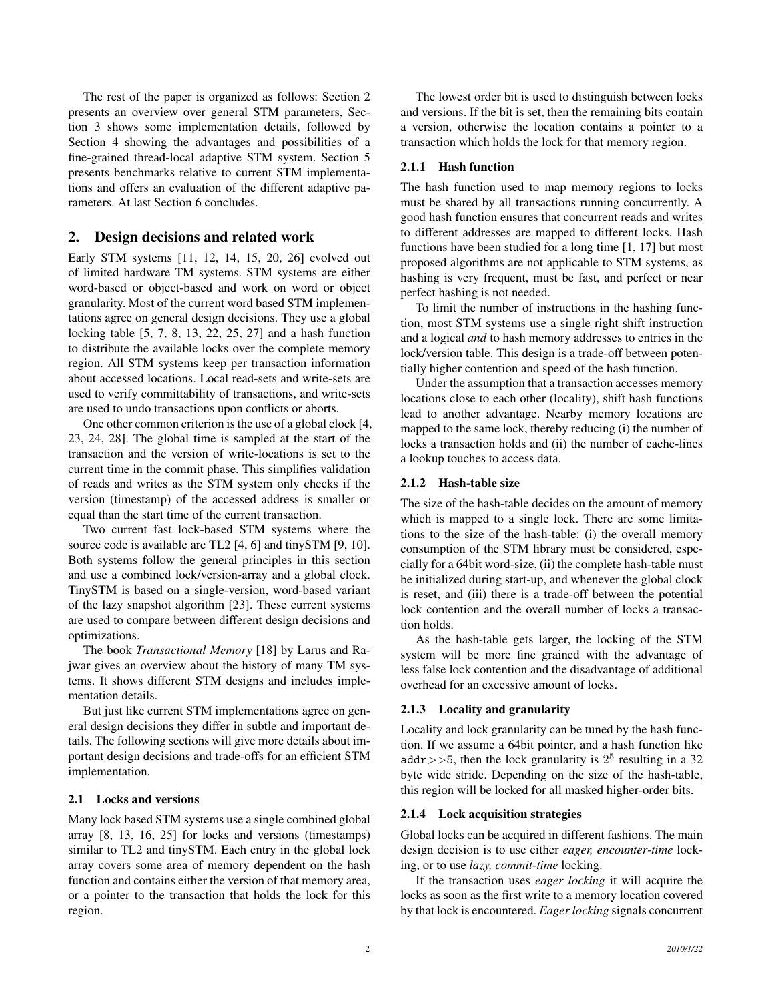The rest of the paper is organized as follows: Section 2 presents an overview over general STM parameters, Section 3 shows some implementation details, followed by Section 4 showing the advantages and possibilities of a fine-grained thread-local adaptive STM system. Section 5 presents benchmarks relative to current STM implementations and offers an evaluation of the different adaptive parameters. At last Section 6 concludes.

# 2. Design decisions and related work

Early STM systems [11, 12, 14, 15, 20, 26] evolved out of limited hardware TM systems. STM systems are either word-based or object-based and work on word or object granularity. Most of the current word based STM implementations agree on general design decisions. They use a global locking table [5, 7, 8, 13, 22, 25, 27] and a hash function to distribute the available locks over the complete memory region. All STM systems keep per transaction information about accessed locations. Local read-sets and write-sets are used to verify committability of transactions, and write-sets are used to undo transactions upon conflicts or aborts.

One other common criterion is the use of a global clock [4, 23, 24, 28]. The global time is sampled at the start of the transaction and the version of write-locations is set to the current time in the commit phase. This simplifies validation of reads and writes as the STM system only checks if the version (timestamp) of the accessed address is smaller or equal than the start time of the current transaction.

Two current fast lock-based STM systems where the source code is available are TL2 [4, 6] and tinySTM [9, 10]. Both systems follow the general principles in this section and use a combined lock/version-array and a global clock. TinySTM is based on a single-version, word-based variant of the lazy snapshot algorithm [23]. These current systems are used to compare between different design decisions and optimizations.

The book *Transactional Memory* [18] by Larus and Rajwar gives an overview about the history of many TM systems. It shows different STM designs and includes implementation details.

But just like current STM implementations agree on general design decisions they differ in subtle and important details. The following sections will give more details about important design decisions and trade-offs for an efficient STM implementation.

# 2.1 Locks and versions

Many lock based STM systems use a single combined global array [8, 13, 16, 25] for locks and versions (timestamps) similar to TL2 and tinySTM. Each entry in the global lock array covers some area of memory dependent on the hash function and contains either the version of that memory area, or a pointer to the transaction that holds the lock for this region.

The lowest order bit is used to distinguish between locks and versions. If the bit is set, then the remaining bits contain a version, otherwise the location contains a pointer to a transaction which holds the lock for that memory region.

# 2.1.1 Hash function

The hash function used to map memory regions to locks must be shared by all transactions running concurrently. A good hash function ensures that concurrent reads and writes to different addresses are mapped to different locks. Hash functions have been studied for a long time [1, 17] but most proposed algorithms are not applicable to STM systems, as hashing is very frequent, must be fast, and perfect or near perfect hashing is not needed.

To limit the number of instructions in the hashing function, most STM systems use a single right shift instruction and a logical *and* to hash memory addresses to entries in the lock/version table. This design is a trade-off between potentially higher contention and speed of the hash function.

Under the assumption that a transaction accesses memory locations close to each other (locality), shift hash functions lead to another advantage. Nearby memory locations are mapped to the same lock, thereby reducing (i) the number of locks a transaction holds and (ii) the number of cache-lines a lookup touches to access data.

#### 2.1.2 Hash-table size

The size of the hash-table decides on the amount of memory which is mapped to a single lock. There are some limitations to the size of the hash-table: (i) the overall memory consumption of the STM library must be considered, especially for a 64bit word-size, (ii) the complete hash-table must be initialized during start-up, and whenever the global clock is reset, and (iii) there is a trade-off between the potential lock contention and the overall number of locks a transaction holds.

As the hash-table gets larger, the locking of the STM system will be more fine grained with the advantage of less false lock contention and the disadvantage of additional overhead for an excessive amount of locks.

# 2.1.3 Locality and granularity

Locality and lock granularity can be tuned by the hash function. If we assume a 64bit pointer, and a hash function like addr>>5, then the lock granularity is  $2^5$  resulting in a 32 byte wide stride. Depending on the size of the hash-table, this region will be locked for all masked higher-order bits.

## 2.1.4 Lock acquisition strategies

Global locks can be acquired in different fashions. The main design decision is to use either *eager, encounter-time* locking, or to use *lazy, commit-time* locking.

If the transaction uses *eager locking* it will acquire the locks as soon as the first write to a memory location covered by that lock is encountered. *Eager locking* signals concurrent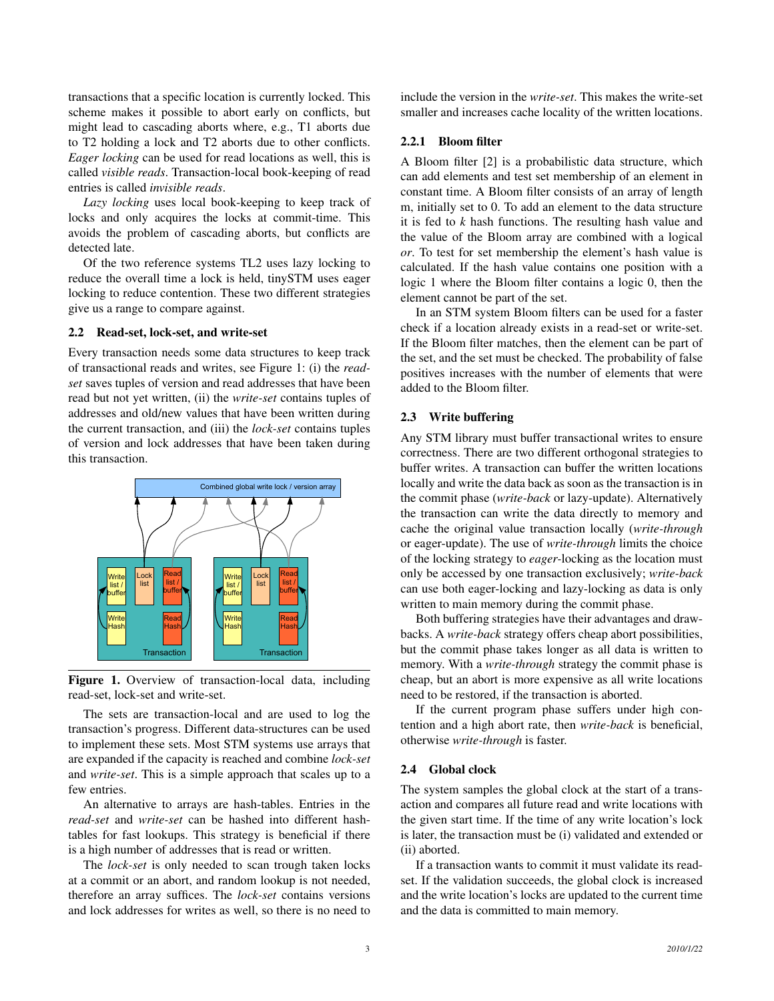transactions that a specific location is currently locked. This scheme makes it possible to abort early on conflicts, but might lead to cascading aborts where, e.g., T1 aborts due to T2 holding a lock and T2 aborts due to other conflicts. *Eager locking* can be used for read locations as well, this is called *visible reads*. Transaction-local book-keeping of read entries is called *invisible reads*.

*Lazy locking* uses local book-keeping to keep track of locks and only acquires the locks at commit-time. This avoids the problem of cascading aborts, but conflicts are detected late.

Of the two reference systems TL2 uses lazy locking to reduce the overall time a lock is held, tinySTM uses eager locking to reduce contention. These two different strategies give us a range to compare against.

#### 2.2 Read-set, lock-set, and write-set

Every transaction needs some data structures to keep track of transactional reads and writes, see Figure 1: (i) the *readset* saves tuples of version and read addresses that have been read but not yet written, (ii) the *write-set* contains tuples of addresses and old/new values that have been written during the current transaction, and (iii) the *lock-set* contains tuples of version and lock addresses that have been taken during this transaction.



Figure 1. Overview of transaction-local data, including read-set, lock-set and write-set.

The sets are transaction-local and are used to log the transaction's progress. Different data-structures can be used to implement these sets. Most STM systems use arrays that are expanded if the capacity is reached and combine *lock-set* and *write-set*. This is a simple approach that scales up to a few entries.

An alternative to arrays are hash-tables. Entries in the *read-set* and *write-set* can be hashed into different hashtables for fast lookups. This strategy is beneficial if there is a high number of addresses that is read or written.

The *lock-set* is only needed to scan trough taken locks at a commit or an abort, and random lookup is not needed, therefore an array suffices. The *lock-set* contains versions and lock addresses for writes as well, so there is no need to

include the version in the *write-set*. This makes the write-set smaller and increases cache locality of the written locations.

#### 2.2.1 Bloom filter

A Bloom filter [2] is a probabilistic data structure, which can add elements and test set membership of an element in constant time. A Bloom filter consists of an array of length m, initially set to 0. To add an element to the data structure it is fed to *k* hash functions. The resulting hash value and the value of the Bloom array are combined with a logical *or*. To test for set membership the element's hash value is calculated. If the hash value contains one position with a logic 1 where the Bloom filter contains a logic 0, then the element cannot be part of the set.

In an STM system Bloom filters can be used for a faster check if a location already exists in a read-set or write-set. If the Bloom filter matches, then the element can be part of the set, and the set must be checked. The probability of false positives increases with the number of elements that were added to the Bloom filter.

#### 2.3 Write buffering

Any STM library must buffer transactional writes to ensure correctness. There are two different orthogonal strategies to buffer writes. A transaction can buffer the written locations locally and write the data back as soon as the transaction is in the commit phase (*write-back* or lazy-update). Alternatively the transaction can write the data directly to memory and cache the original value transaction locally (*write-through* or eager-update). The use of *write-through* limits the choice of the locking strategy to *eager-*locking as the location must only be accessed by one transaction exclusively; *write-back* can use both eager-locking and lazy-locking as data is only written to main memory during the commit phase.

Both buffering strategies have their advantages and drawbacks. A *write-back* strategy offers cheap abort possibilities, but the commit phase takes longer as all data is written to memory. With a *write-through* strategy the commit phase is cheap, but an abort is more expensive as all write locations need to be restored, if the transaction is aborted.

If the current program phase suffers under high contention and a high abort rate, then *write-back* is beneficial, otherwise *write-through* is faster.

#### 2.4 Global clock

The system samples the global clock at the start of a transaction and compares all future read and write locations with the given start time. If the time of any write location's lock is later, the transaction must be (i) validated and extended or (ii) aborted.

If a transaction wants to commit it must validate its readset. If the validation succeeds, the global clock is increased and the write location's locks are updated to the current time and the data is committed to main memory.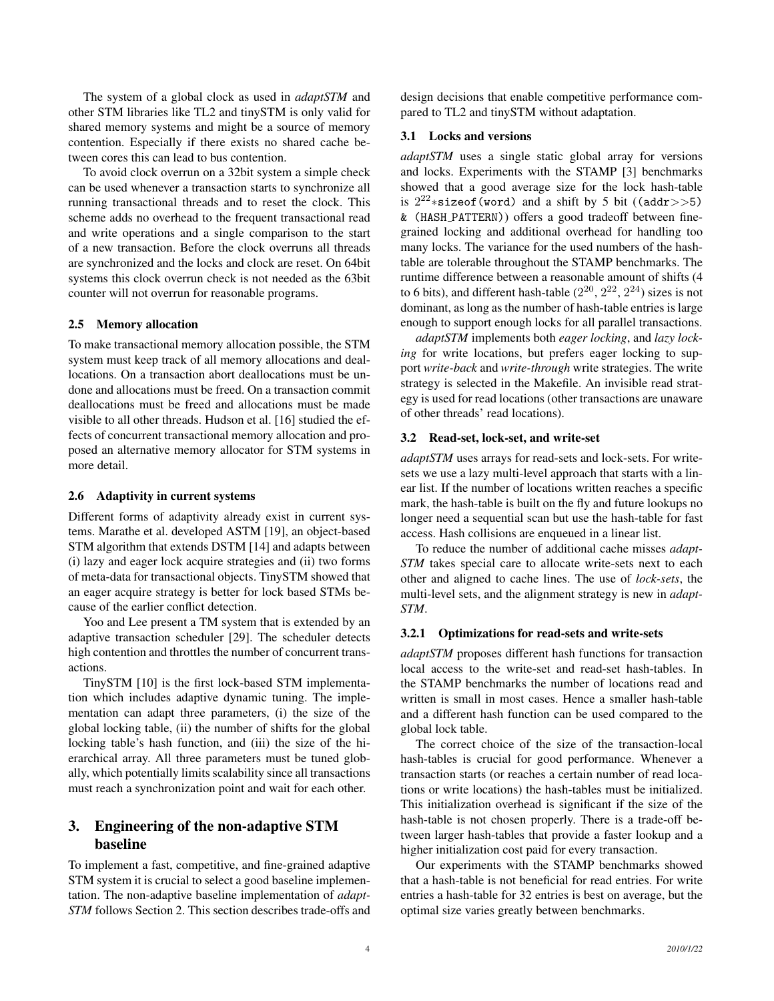The system of a global clock as used in *adaptSTM* and other STM libraries like TL2 and tinySTM is only valid for shared memory systems and might be a source of memory contention. Especially if there exists no shared cache between cores this can lead to bus contention.

To avoid clock overrun on a 32bit system a simple check can be used whenever a transaction starts to synchronize all running transactional threads and to reset the clock. This scheme adds no overhead to the frequent transactional read and write operations and a single comparison to the start of a new transaction. Before the clock overruns all threads are synchronized and the locks and clock are reset. On 64bit systems this clock overrun check is not needed as the 63bit counter will not overrun for reasonable programs.

#### 2.5 Memory allocation

To make transactional memory allocation possible, the STM system must keep track of all memory allocations and deallocations. On a transaction abort deallocations must be undone and allocations must be freed. On a transaction commit deallocations must be freed and allocations must be made visible to all other threads. Hudson et al. [16] studied the effects of concurrent transactional memory allocation and proposed an alternative memory allocator for STM systems in more detail.

#### 2.6 Adaptivity in current systems

Different forms of adaptivity already exist in current systems. Marathe et al. developed ASTM [19], an object-based STM algorithm that extends DSTM [14] and adapts between (i) lazy and eager lock acquire strategies and (ii) two forms of meta-data for transactional objects. TinySTM showed that an eager acquire strategy is better for lock based STMs because of the earlier conflict detection.

Yoo and Lee present a TM system that is extended by an adaptive transaction scheduler [29]. The scheduler detects high contention and throttles the number of concurrent transactions.

TinySTM [10] is the first lock-based STM implementation which includes adaptive dynamic tuning. The implementation can adapt three parameters, (i) the size of the global locking table, (ii) the number of shifts for the global locking table's hash function, and (iii) the size of the hierarchical array. All three parameters must be tuned globally, which potentially limits scalability since all transactions must reach a synchronization point and wait for each other.

# 3. Engineering of the non-adaptive STM baseline

To implement a fast, competitive, and fine-grained adaptive STM system it is crucial to select a good baseline implementation. The non-adaptive baseline implementation of *adapt-STM* follows Section 2. This section describes trade-offs and

design decisions that enable competitive performance compared to TL2 and tinySTM without adaptation.

#### 3.1 Locks and versions

*adaptSTM* uses a single static global array for versions and locks. Experiments with the STAMP [3] benchmarks showed that a good average size for the lock hash-table is  $2^{22} * \text{sizeof}$  (word) and a shift by 5 bit ((addr>>5) & (HASH PATTERN)) offers a good tradeoff between finegrained locking and additional overhead for handling too many locks. The variance for the used numbers of the hashtable are tolerable throughout the STAMP benchmarks. The runtime difference between a reasonable amount of shifts (4 to 6 bits), and different hash-table  $(2^{20}, 2^{22}, 2^{24})$  sizes is not dominant, as long as the number of hash-table entries is large enough to support enough locks for all parallel transactions.

*adaptSTM* implements both *eager locking*, and *lazy locking* for write locations, but prefers eager locking to support *write-back* and *write-through* write strategies. The write strategy is selected in the Makefile. An invisible read strategy is used for read locations (other transactions are unaware of other threads' read locations).

## 3.2 Read-set, lock-set, and write-set

*adaptSTM* uses arrays for read-sets and lock-sets. For writesets we use a lazy multi-level approach that starts with a linear list. If the number of locations written reaches a specific mark, the hash-table is built on the fly and future lookups no longer need a sequential scan but use the hash-table for fast access. Hash collisions are enqueued in a linear list.

To reduce the number of additional cache misses *adapt-STM* takes special care to allocate write-sets next to each other and aligned to cache lines. The use of *lock-sets*, the multi-level sets, and the alignment strategy is new in *adapt-STM*.

#### 3.2.1 Optimizations for read-sets and write-sets

*adaptSTM* proposes different hash functions for transaction local access to the write-set and read-set hash-tables. In the STAMP benchmarks the number of locations read and written is small in most cases. Hence a smaller hash-table and a different hash function can be used compared to the global lock table.

The correct choice of the size of the transaction-local hash-tables is crucial for good performance. Whenever a transaction starts (or reaches a certain number of read locations or write locations) the hash-tables must be initialized. This initialization overhead is significant if the size of the hash-table is not chosen properly. There is a trade-off between larger hash-tables that provide a faster lookup and a higher initialization cost paid for every transaction.

Our experiments with the STAMP benchmarks showed that a hash-table is not beneficial for read entries. For write entries a hash-table for 32 entries is best on average, but the optimal size varies greatly between benchmarks.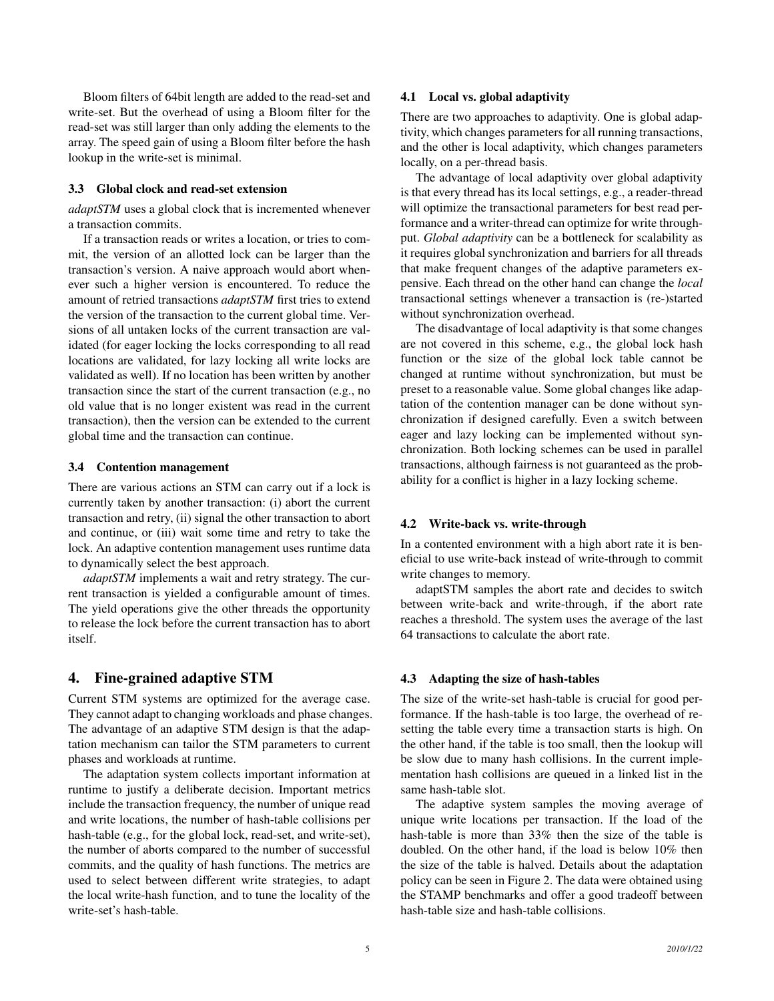Bloom filters of 64bit length are added to the read-set and write-set. But the overhead of using a Bloom filter for the read-set was still larger than only adding the elements to the array. The speed gain of using a Bloom filter before the hash lookup in the write-set is minimal.

#### 3.3 Global clock and read-set extension

*adaptSTM* uses a global clock that is incremented whenever a transaction commits.

If a transaction reads or writes a location, or tries to commit, the version of an allotted lock can be larger than the transaction's version. A naive approach would abort whenever such a higher version is encountered. To reduce the amount of retried transactions *adaptSTM* first tries to extend the version of the transaction to the current global time. Versions of all untaken locks of the current transaction are validated (for eager locking the locks corresponding to all read locations are validated, for lazy locking all write locks are validated as well). If no location has been written by another transaction since the start of the current transaction (e.g., no old value that is no longer existent was read in the current transaction), then the version can be extended to the current global time and the transaction can continue.

#### 3.4 Contention management

There are various actions an STM can carry out if a lock is currently taken by another transaction: (i) abort the current transaction and retry, (ii) signal the other transaction to abort and continue, or (iii) wait some time and retry to take the lock. An adaptive contention management uses runtime data to dynamically select the best approach.

*adaptSTM* implements a wait and retry strategy. The current transaction is yielded a configurable amount of times. The yield operations give the other threads the opportunity to release the lock before the current transaction has to abort itself.

#### 4. Fine-grained adaptive STM

Current STM systems are optimized for the average case. They cannot adapt to changing workloads and phase changes. The advantage of an adaptive STM design is that the adaptation mechanism can tailor the STM parameters to current phases and workloads at runtime.

The adaptation system collects important information at runtime to justify a deliberate decision. Important metrics include the transaction frequency, the number of unique read and write locations, the number of hash-table collisions per hash-table (e.g., for the global lock, read-set, and write-set), the number of aborts compared to the number of successful commits, and the quality of hash functions. The metrics are used to select between different write strategies, to adapt the local write-hash function, and to tune the locality of the write-set's hash-table.

## 4.1 Local vs. global adaptivity

There are two approaches to adaptivity. One is global adaptivity, which changes parameters for all running transactions, and the other is local adaptivity, which changes parameters locally, on a per-thread basis.

The advantage of local adaptivity over global adaptivity is that every thread has its local settings, e.g., a reader-thread will optimize the transactional parameters for best read performance and a writer-thread can optimize for write throughput. *Global adaptivity* can be a bottleneck for scalability as it requires global synchronization and barriers for all threads that make frequent changes of the adaptive parameters expensive. Each thread on the other hand can change the *local* transactional settings whenever a transaction is (re-)started without synchronization overhead.

The disadvantage of local adaptivity is that some changes are not covered in this scheme, e.g., the global lock hash function or the size of the global lock table cannot be changed at runtime without synchronization, but must be preset to a reasonable value. Some global changes like adaptation of the contention manager can be done without synchronization if designed carefully. Even a switch between eager and lazy locking can be implemented without synchronization. Both locking schemes can be used in parallel transactions, although fairness is not guaranteed as the probability for a conflict is higher in a lazy locking scheme.

#### 4.2 Write-back vs. write-through

In a contented environment with a high abort rate it is beneficial to use write-back instead of write-through to commit write changes to memory.

adaptSTM samples the abort rate and decides to switch between write-back and write-through, if the abort rate reaches a threshold. The system uses the average of the last 64 transactions to calculate the abort rate.

#### 4.3 Adapting the size of hash-tables

The size of the write-set hash-table is crucial for good performance. If the hash-table is too large, the overhead of resetting the table every time a transaction starts is high. On the other hand, if the table is too small, then the lookup will be slow due to many hash collisions. In the current implementation hash collisions are queued in a linked list in the same hash-table slot.

The adaptive system samples the moving average of unique write locations per transaction. If the load of the hash-table is more than 33% then the size of the table is doubled. On the other hand, if the load is below 10% then the size of the table is halved. Details about the adaptation policy can be seen in Figure 2. The data were obtained using the STAMP benchmarks and offer a good tradeoff between hash-table size and hash-table collisions.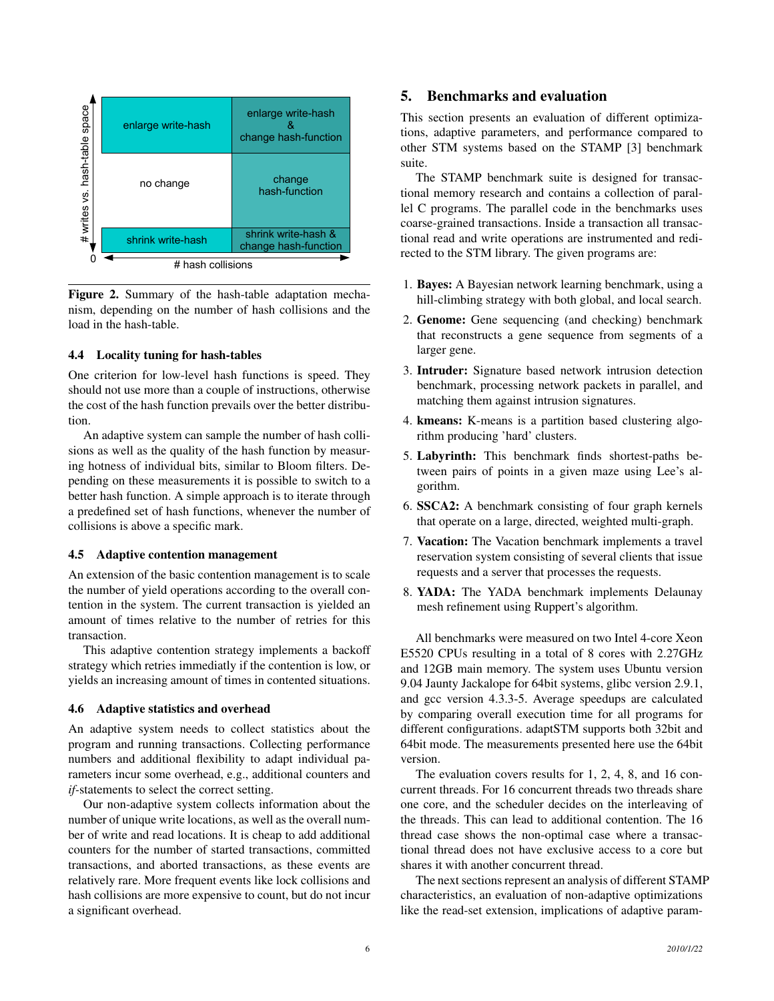

Figure 2. Summary of the hash-table adaptation mechanism, depending on the number of hash collisions and the load in the hash-table.

# 4.4 Locality tuning for hash-tables

One criterion for low-level hash functions is speed. They should not use more than a couple of instructions, otherwise the cost of the hash function prevails over the better distribution.

An adaptive system can sample the number of hash collisions as well as the quality of the hash function by measuring hotness of individual bits, similar to Bloom filters. Depending on these measurements it is possible to switch to a better hash function. A simple approach is to iterate through a predefined set of hash functions, whenever the number of collisions is above a specific mark.

# 4.5 Adaptive contention management

An extension of the basic contention management is to scale the number of yield operations according to the overall contention in the system. The current transaction is yielded an amount of times relative to the number of retries for this transaction.

This adaptive contention strategy implements a backoff strategy which retries immediatly if the contention is low, or yields an increasing amount of times in contented situations.

#### 4.6 Adaptive statistics and overhead

An adaptive system needs to collect statistics about the program and running transactions. Collecting performance numbers and additional flexibility to adapt individual parameters incur some overhead, e.g., additional counters and *if-*statements to select the correct setting.

Our non-adaptive system collects information about the number of unique write locations, as well as the overall number of write and read locations. It is cheap to add additional counters for the number of started transactions, committed transactions, and aborted transactions, as these events are relatively rare. More frequent events like lock collisions and hash collisions are more expensive to count, but do not incur a significant overhead.

# 5. Benchmarks and evaluation

This section presents an evaluation of different optimizations, adaptive parameters, and performance compared to other STM systems based on the STAMP [3] benchmark suite.

The STAMP benchmark suite is designed for transactional memory research and contains a collection of parallel C programs. The parallel code in the benchmarks uses coarse-grained transactions. Inside a transaction all transactional read and write operations are instrumented and redirected to the STM library. The given programs are:

- 1. Bayes: A Bayesian network learning benchmark, using a hill-climbing strategy with both global, and local search.
- 2. Genome: Gene sequencing (and checking) benchmark that reconstructs a gene sequence from segments of a larger gene.
- 3. Intruder: Signature based network intrusion detection benchmark, processing network packets in parallel, and matching them against intrusion signatures.
- 4. kmeans: K-means is a partition based clustering algorithm producing 'hard' clusters.
- 5. Labyrinth: This benchmark finds shortest-paths between pairs of points in a given maze using Lee's algorithm.
- 6. SSCA2: A benchmark consisting of four graph kernels that operate on a large, directed, weighted multi-graph.
- 7. Vacation: The Vacation benchmark implements a travel reservation system consisting of several clients that issue requests and a server that processes the requests.
- 8. YADA: The YADA benchmark implements Delaunay mesh refinement using Ruppert's algorithm.

All benchmarks were measured on two Intel 4-core Xeon E5520 CPUs resulting in a total of 8 cores with 2.27GHz and 12GB main memory. The system uses Ubuntu version 9.04 Jaunty Jackalope for 64bit systems, glibc version 2.9.1, and gcc version 4.3.3-5. Average speedups are calculated by comparing overall execution time for all programs for different configurations. adaptSTM supports both 32bit and 64bit mode. The measurements presented here use the 64bit version.

The evaluation covers results for 1, 2, 4, 8, and 16 concurrent threads. For 16 concurrent threads two threads share one core, and the scheduler decides on the interleaving of the threads. This can lead to additional contention. The 16 thread case shows the non-optimal case where a transactional thread does not have exclusive access to a core but shares it with another concurrent thread.

The next sections represent an analysis of different STAMP characteristics, an evaluation of non-adaptive optimizations like the read-set extension, implications of adaptive param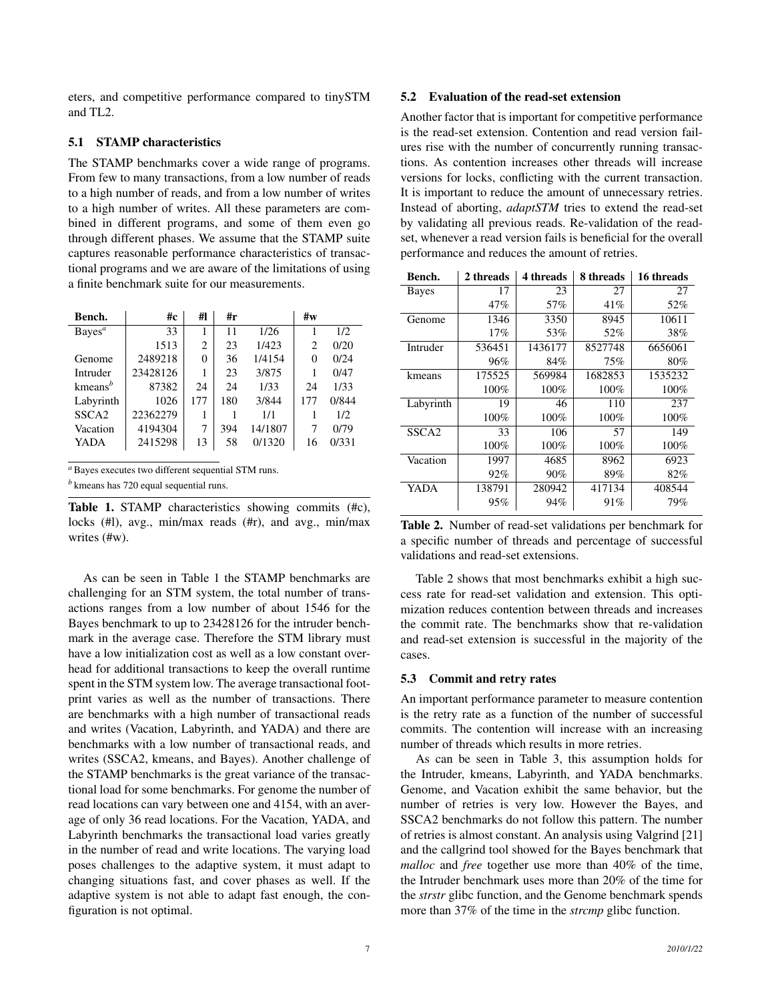eters, and competitive performance compared to tinySTM and TL2.

#### 5.1 STAMP characteristics

The STAMP benchmarks cover a wide range of programs. From few to many transactions, from a low number of reads to a high number of reads, and from a low number of writes to a high number of writes. All these parameters are combined in different programs, and some of them even go through different phases. We assume that the STAMP suite captures reasonable performance characteristics of transactional programs and we are aware of the limitations of using a finite benchmark suite for our measurements.

| Bench.                           | #c       | #1             | #r  |         | #w  |       |
|----------------------------------|----------|----------------|-----|---------|-----|-------|
| Bayes <sup>a</sup>               | 33       | 1              | 11  | 1/26    |     | 1/2   |
|                                  | 1513     | $\overline{c}$ | 23  | 1/423   | 2   | 0/20  |
| Genome                           | 2489218  | 0              | 36  | 1/4154  | 0   | 0/24  |
| Intruder                         | 23428126 | 1              | 23  | 3/875   |     | 0/47  |
| kmeans <sup><math>b</math></sup> | 87382    | 24             | 24  | 1/33    | 24  | 1/33  |
| Labyrinth                        | 1026     | 177            | 180 | 3/844   | 177 | 0/844 |
| SSCA <sub>2</sub>                | 22362279 | 1              |     | 1/1     |     | 1/2   |
| Vacation                         | 4194304  | 7              | 394 | 14/1807 | 7   | 0/79  |
| YADA                             | 2415298  | 13             | 58  | 0/1320  | 16  | 0/331 |

*<sup>a</sup>* Bayes executes two different sequential STM runs.

*<sup>b</sup>* kmeans has 720 equal sequential runs.

Table 1. STAMP characteristics showing commits (#c), locks (#l), avg., min/max reads (#r), and avg., min/max writes (#w).

As can be seen in Table 1 the STAMP benchmarks are challenging for an STM system, the total number of transactions ranges from a low number of about 1546 for the Bayes benchmark to up to 23428126 for the intruder benchmark in the average case. Therefore the STM library must have a low initialization cost as well as a low constant overhead for additional transactions to keep the overall runtime spent in the STM system low. The average transactional footprint varies as well as the number of transactions. There are benchmarks with a high number of transactional reads and writes (Vacation, Labyrinth, and YADA) and there are benchmarks with a low number of transactional reads, and writes (SSCA2, kmeans, and Bayes). Another challenge of the STAMP benchmarks is the great variance of the transactional load for some benchmarks. For genome the number of read locations can vary between one and 4154, with an average of only 36 read locations. For the Vacation, YADA, and Labyrinth benchmarks the transactional load varies greatly in the number of read and write locations. The varying load poses challenges to the adaptive system, it must adapt to changing situations fast, and cover phases as well. If the adaptive system is not able to adapt fast enough, the configuration is not optimal.

# 5.2 Evaluation of the read-set extension

Another factor that is important for competitive performance is the read-set extension. Contention and read version failures rise with the number of concurrently running transactions. As contention increases other threads will increase versions for locks, conflicting with the current transaction. It is important to reduce the amount of unnecessary retries. Instead of aborting, *adaptSTM* tries to extend the read-set by validating all previous reads. Re-validation of the readset, whenever a read version fails is beneficial for the overall performance and reduces the amount of retries.

| Bench.            | 2 threads | 4 threads | 8 threads | 16 threads |
|-------------------|-----------|-----------|-----------|------------|
| <b>Bayes</b>      | 17        | 23        | 27        | 27         |
|                   | 47%       | 57%       | 41\%      | 52%        |
| Genome            | 1346      | 3350      | 8945      | 10611      |
|                   | 17%       | 53%       | 52%       | 38%        |
| Intruder          | 536451    | 1436177   | 8527748   | 6656061    |
|                   | 96%       | 84%       | 75%       | 80%        |
| kmeans            | 175525    | 569984    | 1682853   | 1535232    |
|                   | 100%      | 100%      | $100\%$   | 100%       |
| Labyrinth         | 19        | 46        | 110       | 237        |
|                   | 100%      | 100%      | 100%      | 100%       |
| SSCA <sub>2</sub> | 33        | 106       | 57        | 149        |
|                   | 100%      | 100%      | 100%      | 100%       |
| Vacation          | 1997      | 4685      | 8962      | 6923       |
|                   | 92%       | $90\%$    | 89%       | 82%        |
| YADA              | 138791    | 280942    | 417134    | 408544     |
|                   | 95%       | 94%       | 91%       | 79%        |

Table 2. Number of read-set validations per benchmark for a specific number of threads and percentage of successful validations and read-set extensions.

Table 2 shows that most benchmarks exhibit a high success rate for read-set validation and extension. This optimization reduces contention between threads and increases the commit rate. The benchmarks show that re-validation and read-set extension is successful in the majority of the cases.

#### 5.3 Commit and retry rates

An important performance parameter to measure contention is the retry rate as a function of the number of successful commits. The contention will increase with an increasing number of threads which results in more retries.

As can be seen in Table 3, this assumption holds for the Intruder, kmeans, Labyrinth, and YADA benchmarks. Genome, and Vacation exhibit the same behavior, but the number of retries is very low. However the Bayes, and SSCA2 benchmarks do not follow this pattern. The number of retries is almost constant. An analysis using Valgrind [21] and the callgrind tool showed for the Bayes benchmark that *malloc* and *free* together use more than 40% of the time, the Intruder benchmark uses more than 20% of the time for the *strstr* glibc function, and the Genome benchmark spends more than 37% of the time in the *strcmp* glibc function.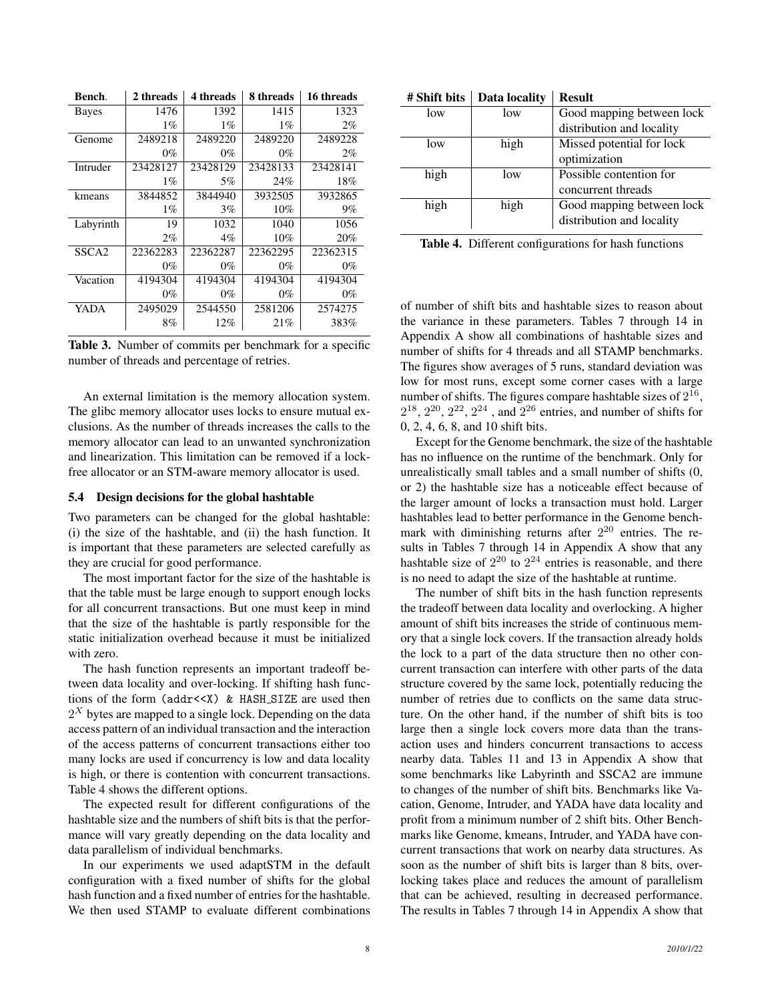| Bench.            | 2 threads | 4 threads | 8 threads | 16 threads |
|-------------------|-----------|-----------|-----------|------------|
| Bayes             | 1476      | 1392      | 1415      | 1323       |
|                   | $1\%$     | $1\%$     | $1\%$     | $2\%$      |
| Genome            | 2489218   | 2489220   | 2489220   | 2489228    |
|                   | $0\%$     | $0\%$     | $0\%$     | $2\%$      |
| Intruder          | 23428127  | 23428129  | 23428133  | 23428141   |
|                   | $1\%$     | 5%        | 24%       | 18%        |
| kmeans            | 3844852   | 3844940   | 3932505   | 3932865    |
|                   | $1\%$     | $3\%$     | 10%       | $9\%$      |
| Labyrinth         | 19        | 1032      | 1040      | 1056       |
|                   | $2\%$     | $4\%$     | 10%       | 20%        |
| SSCA <sub>2</sub> | 22362283  | 22362287  | 22362295  | 22362315   |
|                   | $0\%$     | $0\%$     | $0\%$     | $0\%$      |
| Vacation          | 4194304   | 4194304   | 4194304   | 4194304    |
|                   | 0%        | $0\%$     | $0\%$     | $0\%$      |
| YADA              | 2495029   | 2544550   | 2581206   | 2574275    |
|                   | 8%        | 12%       | 21%       | 383%       |

Table 3. Number of commits per benchmark for a specific number of threads and percentage of retries.

An external limitation is the memory allocation system. The glibc memory allocator uses locks to ensure mutual exclusions. As the number of threads increases the calls to the memory allocator can lead to an unwanted synchronization and linearization. This limitation can be removed if a lockfree allocator or an STM-aware memory allocator is used.

#### 5.4 Design decisions for the global hashtable

Two parameters can be changed for the global hashtable: (i) the size of the hashtable, and (ii) the hash function. It is important that these parameters are selected carefully as they are crucial for good performance.

The most important factor for the size of the hashtable is that the table must be large enough to support enough locks for all concurrent transactions. But one must keep in mind that the size of the hashtable is partly responsible for the static initialization overhead because it must be initialized with zero.

The hash function represents an important tradeoff between data locality and over-locking. If shifting hash functions of the form (addr<<X) & HASH\_SIZE are used then  $2^X$  bytes are mapped to a single lock. Depending on the data access pattern of an individual transaction and the interaction of the access patterns of concurrent transactions either too many locks are used if concurrency is low and data locality is high, or there is contention with concurrent transactions. Table 4 shows the different options.

The expected result for different configurations of the hashtable size and the numbers of shift bits is that the performance will vary greatly depending on the data locality and data parallelism of individual benchmarks.

In our experiments we used adaptSTM in the default configuration with a fixed number of shifts for the global hash function and a fixed number of entries for the hashtable. We then used STAMP to evaluate different combinations

| # Shift bits | Data locality | <b>Result</b>             |
|--------------|---------------|---------------------------|
| low          | low           | Good mapping between lock |
|              |               | distribution and locality |
| low          | high          | Missed potential for lock |
|              |               | optimization              |
| high         | low           | Possible contention for   |
|              |               | concurrent threads        |
| high         | high          | Good mapping between lock |
|              |               | distribution and locality |
|              |               |                           |

Table 4. Different configurations for hash functions

of number of shift bits and hashtable sizes to reason about the variance in these parameters. Tables 7 through 14 in Appendix A show all combinations of hashtable sizes and number of shifts for 4 threads and all STAMP benchmarks. The figures show averages of 5 runs, standard deviation was low for most runs, except some corner cases with a large number of shifts. The figures compare hashtable sizes of  $2^{16}$ ,  $2^{18}$ ,  $2^{20}$ ,  $2^{22}$ ,  $2^{24}$  , and  $2^{26}$  entries, and number of shifts for 0, 2, 4, 6, 8, and 10 shift bits.

Except for the Genome benchmark, the size of the hashtable has no influence on the runtime of the benchmark. Only for unrealistically small tables and a small number of shifts (0, or 2) the hashtable size has a noticeable effect because of the larger amount of locks a transaction must hold. Larger hashtables lead to better performance in the Genome benchmark with diminishing returns after  $2^{20}$  entries. The results in Tables 7 through 14 in Appendix A show that any hashtable size of  $2^{20}$  to  $2^{24}$  entries is reasonable, and there is no need to adapt the size of the hashtable at runtime.

The number of shift bits in the hash function represents the tradeoff between data locality and overlocking. A higher amount of shift bits increases the stride of continuous memory that a single lock covers. If the transaction already holds the lock to a part of the data structure then no other concurrent transaction can interfere with other parts of the data structure covered by the same lock, potentially reducing the number of retries due to conflicts on the same data structure. On the other hand, if the number of shift bits is too large then a single lock covers more data than the transaction uses and hinders concurrent transactions to access nearby data. Tables 11 and 13 in Appendix A show that some benchmarks like Labyrinth and SSCA2 are immune to changes of the number of shift bits. Benchmarks like Vacation, Genome, Intruder, and YADA have data locality and profit from a minimum number of 2 shift bits. Other Benchmarks like Genome, kmeans, Intruder, and YADA have concurrent transactions that work on nearby data structures. As soon as the number of shift bits is larger than 8 bits, overlocking takes place and reduces the amount of parallelism that can be achieved, resulting in decreased performance. The results in Tables 7 through 14 in Appendix A show that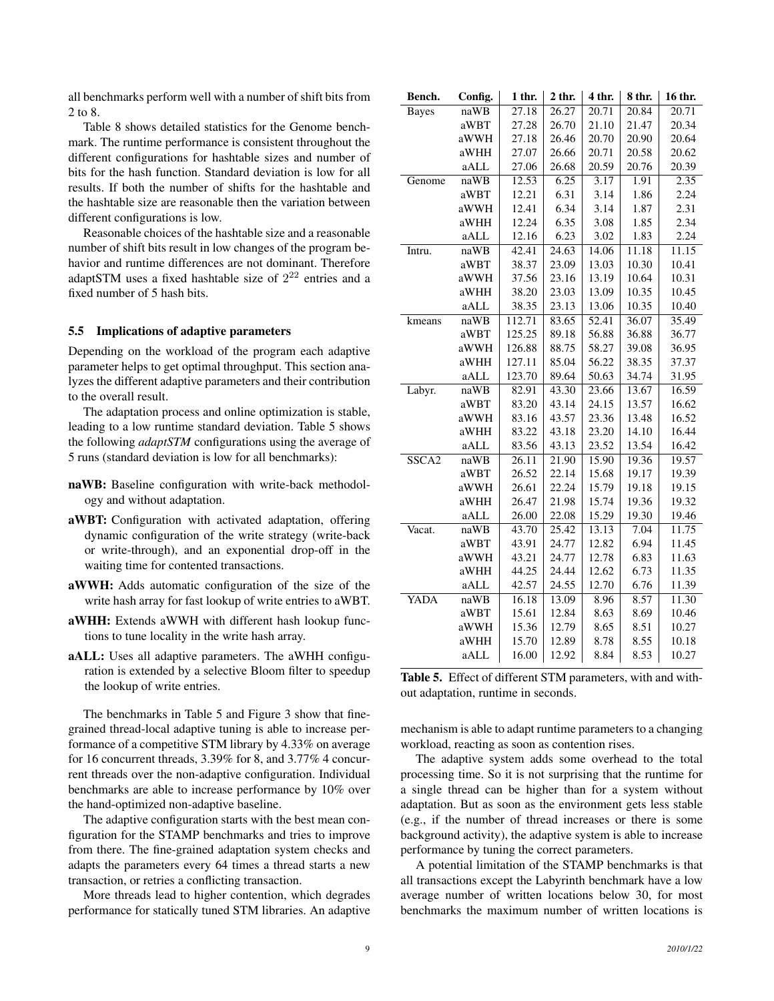all benchmarks perform well with a number of shift bits from 2 to 8.

Table 8 shows detailed statistics for the Genome benchmark. The runtime performance is consistent throughout the different configurations for hashtable sizes and number of bits for the hash function. Standard deviation is low for all results. If both the number of shifts for the hashtable and the hashtable size are reasonable then the variation between different configurations is low.

Reasonable choices of the hashtable size and a reasonable number of shift bits result in low changes of the program behavior and runtime differences are not dominant. Therefore adaptSTM uses a fixed hashtable size of  $2^{22}$  entries and a fixed number of 5 hash bits.

# 5.5 Implications of adaptive parameters

Depending on the workload of the program each adaptive parameter helps to get optimal throughput. This section analyzes the different adaptive parameters and their contribution to the overall result.

The adaptation process and online optimization is stable, leading to a low runtime standard deviation. Table 5 shows the following *adaptSTM* configurations using the average of 5 runs (standard deviation is low for all benchmarks):

- naWB: Baseline configuration with write-back methodology and without adaptation.
- aWBT: Configuration with activated adaptation, offering dynamic configuration of the write strategy (write-back or write-through), and an exponential drop-off in the waiting time for contented transactions.
- aWWH: Adds automatic configuration of the size of the write hash array for fast lookup of write entries to aWBT.
- aWHH: Extends aWWH with different hash lookup functions to tune locality in the write hash array.
- aALL: Uses all adaptive parameters. The aWHH configuration is extended by a selective Bloom filter to speedup the lookup of write entries.

The benchmarks in Table 5 and Figure 3 show that finegrained thread-local adaptive tuning is able to increase performance of a competitive STM library by 4.33% on average for 16 concurrent threads, 3.39% for 8, and 3.77% 4 concurrent threads over the non-adaptive configuration. Individual benchmarks are able to increase performance by 10% over the hand-optimized non-adaptive baseline.

The adaptive configuration starts with the best mean configuration for the STAMP benchmarks and tries to improve from there. The fine-grained adaptation system checks and adapts the parameters every 64 times a thread starts a new transaction, or retries a conflicting transaction.

More threads lead to higher contention, which degrades performance for statically tuned STM libraries. An adaptive

| Bench.            | Config. | 1 thr. | $2$ thr. | 4 thr. | 8 thr. | 16 thr. |
|-------------------|---------|--------|----------|--------|--------|---------|
| <b>Bayes</b>      | naWB    | 27.18  | 26.27    | 20.71  | 20.84  | 20.71   |
|                   | aWBT    | 27.28  | 26.70    | 21.10  | 21.47  | 20.34   |
|                   | aWWH    | 27.18  | 26.46    | 20.70  | 20.90  | 20.64   |
|                   | aWHH    | 27.07  | 26.66    | 20.71  | 20.58  | 20.62   |
|                   | aALL    | 27.06  | 26.68    | 20.59  | 20.76  | 20.39   |
| Genome            | naWB    | 12.53  | 6.25     | 3.17   | 1.91   | 2.35    |
|                   | aWBT    | 12.21  | 6.31     | 3.14   | 1.86   | 2.24    |
|                   | aWWH    | 12.41  | 6.34     | 3.14   | 1.87   | 2.31    |
|                   | aWHH    | 12.24  | 6.35     | 3.08   | 1.85   | 2.34    |
|                   | aALL    | 12.16  | 6.23     | 3.02   | 1.83   | 2.24    |
| Intru.            | naWB    | 42.41  | 24.63    | 14.06  | 11.18  | 11.15   |
|                   | aWBT    | 38.37  | 23.09    | 13.03  | 10.30  | 10.41   |
|                   | aWWH    | 37.56  | 23.16    | 13.19  | 10.64  | 10.31   |
|                   | aWHH    | 38.20  | 23.03    | 13.09  | 10.35  | 10.45   |
|                   | aALL    | 38.35  | 23.13    | 13.06  | 10.35  | 10.40   |
| kmeans            | naWB    | 112.71 | 83.65    | 52.41  | 36.07  | 35.49   |
|                   | aWBT    | 125.25 | 89.18    | 56.88  | 36.88  | 36.77   |
|                   | aWWH    | 126.88 | 88.75    | 58.27  | 39.08  | 36.95   |
|                   | aWHH    | 127.11 | 85.04    | 56.22  | 38.35  | 37.37   |
|                   | aALL    | 123.70 | 89.64    | 50.63  | 34.74  | 31.95   |
| Labyr.            | naWB    | 82.91  | 43.30    | 23.66  | 13.67  | 16.59   |
|                   | aWBT    | 83.20  | 43.14    | 24.15  | 13.57  | 16.62   |
|                   | aWWH    | 83.16  | 43.57    | 23.36  | 13.48  | 16.52   |
|                   | aWHH    | 83.22  | 43.18    | 23.20  | 14.10  | 16.44   |
|                   | aALL    | 83.56  | 43.13    | 23.52  | 13.54  | 16.42   |
| SSCA <sub>2</sub> | naWB    | 26.11  | 21.90    | 15.90  | 19.36  | 19.57   |
|                   | aWBT    | 26.52  | 22.14    | 15.68  | 19.17  | 19.39   |
|                   | aWWH    | 26.61  | 22.24    | 15.79  | 19.18  | 19.15   |
|                   | aWHH    | 26.47  | 21.98    | 15.74  | 19.36  | 19.32   |
|                   | aALL    | 26.00  | 22.08    | 15.29  | 19.30  | 19.46   |
| Vacat.            | naWB    | 43.70  | 25.42    | 13.13  | 7.04   | 11.75   |
|                   | aWBT    | 43.91  | 24.77    | 12.82  | 6.94   | 11.45   |
|                   | aWWH    | 43.21  | 24.77    | 12.78  | 6.83   | 11.63   |
|                   | aWHH    | 44.25  | 24.44    | 12.62  | 6.73   | 11.35   |
|                   | aALL    | 42.57  | 24.55    | 12.70  | 6.76   | 11.39   |
| YADA              | naWB    | 16.18  | 13.09    | 8.96   | 8.57   | 11.30   |
|                   | aWBT    | 15.61  | 12.84    | 8.63   | 8.69   | 10.46   |
|                   | aWWH    | 15.36  | 12.79    | 8.65   | 8.51   | 10.27   |
|                   | aWHH    | 15.70  | 12.89    | 8.78   | 8.55   | 10.18   |
|                   | aALL    | 16.00  | 12.92    | 8.84   | 8.53   | 10.27   |

Table 5. Effect of different STM parameters, with and without adaptation, runtime in seconds.

mechanism is able to adapt runtime parameters to a changing workload, reacting as soon as contention rises.

The adaptive system adds some overhead to the total processing time. So it is not surprising that the runtime for a single thread can be higher than for a system without adaptation. But as soon as the environment gets less stable (e.g., if the number of thread increases or there is some background activity), the adaptive system is able to increase performance by tuning the correct parameters.

A potential limitation of the STAMP benchmarks is that all transactions except the Labyrinth benchmark have a low average number of written locations below 30, for most benchmarks the maximum number of written locations is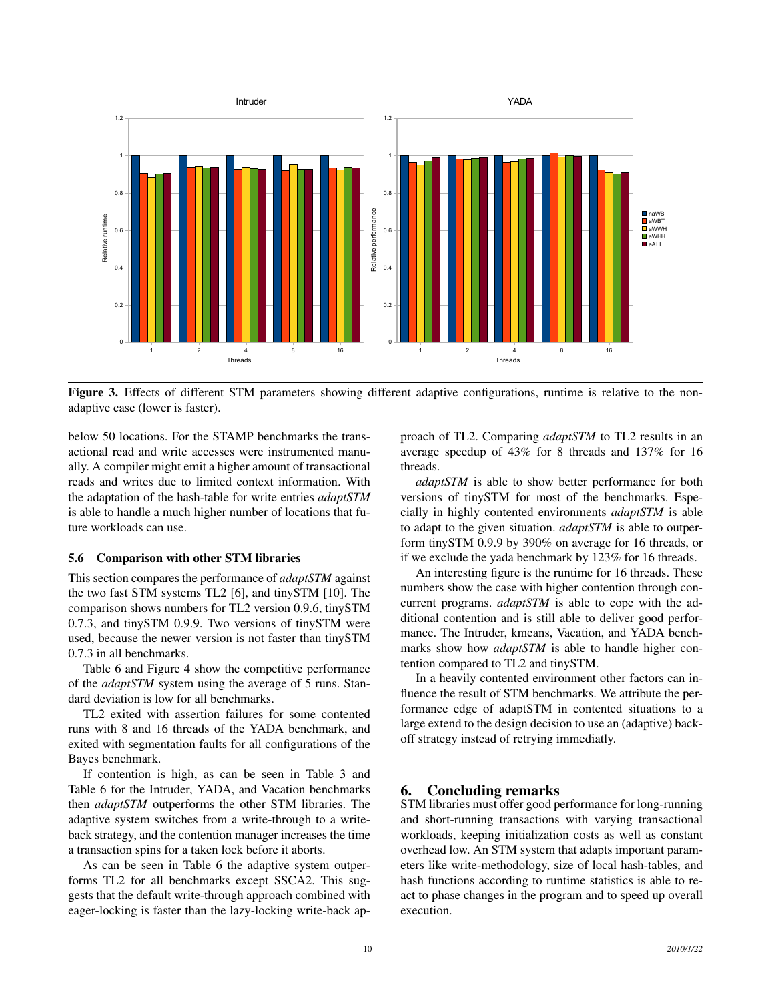

Figure 3. Effects of different STM parameters showing different adaptive configurations, runtime is relative to the nonadaptive case (lower is faster).

below 50 locations. For the STAMP benchmarks the transactional read and write accesses were instrumented manually. A compiler might emit a higher amount of transactional reads and writes due to limited context information. With the adaptation of the hash-table for write entries *adaptSTM* is able to handle a much higher number of locations that future workloads can use.

#### 5.6 Comparison with other STM libraries

This section compares the performance of *adaptSTM* against the two fast STM systems TL2 [6], and tinySTM [10]. The comparison shows numbers for TL2 version 0.9.6, tinySTM 0.7.3, and tinySTM 0.9.9. Two versions of tinySTM were used, because the newer version is not faster than tinySTM 0.7.3 in all benchmarks.

Table 6 and Figure 4 show the competitive performance of the *adaptSTM* system using the average of 5 runs. Standard deviation is low for all benchmarks.

TL2 exited with assertion failures for some contented runs with 8 and 16 threads of the YADA benchmark, and exited with segmentation faults for all configurations of the Bayes benchmark.

If contention is high, as can be seen in Table 3 and Table 6 for the Intruder, YADA, and Vacation benchmarks then *adaptSTM* outperforms the other STM libraries. The adaptive system switches from a write-through to a writeback strategy, and the contention manager increases the time a transaction spins for a taken lock before it aborts.

As can be seen in Table 6 the adaptive system outperforms TL2 for all benchmarks except SSCA2. This suggests that the default write-through approach combined with eager-locking is faster than the lazy-locking write-back approach of TL2. Comparing *adaptSTM* to TL2 results in an average speedup of 43% for 8 threads and 137% for 16 threads.

*adaptSTM* is able to show better performance for both versions of tinySTM for most of the benchmarks. Especially in highly contented environments *adaptSTM* is able to adapt to the given situation. *adaptSTM* is able to outperform tinySTM 0.9.9 by 390% on average for 16 threads, or if we exclude the yada benchmark by 123% for 16 threads.

An interesting figure is the runtime for 16 threads. These numbers show the case with higher contention through concurrent programs. *adaptSTM* is able to cope with the additional contention and is still able to deliver good performance. The Intruder, kmeans, Vacation, and YADA benchmarks show how *adaptSTM* is able to handle higher contention compared to TL2 and tinySTM.

In a heavily contented environment other factors can influence the result of STM benchmarks. We attribute the performance edge of adaptSTM in contented situations to a large extend to the design decision to use an (adaptive) backoff strategy instead of retrying immediatly.

#### 6. Concluding remarks

STM libraries must offer good performance for long-running and short-running transactions with varying transactional workloads, keeping initialization costs as well as constant overhead low. An STM system that adapts important parameters like write-methodology, size of local hash-tables, and hash functions according to runtime statistics is able to react to phase changes in the program and to speed up overall execution.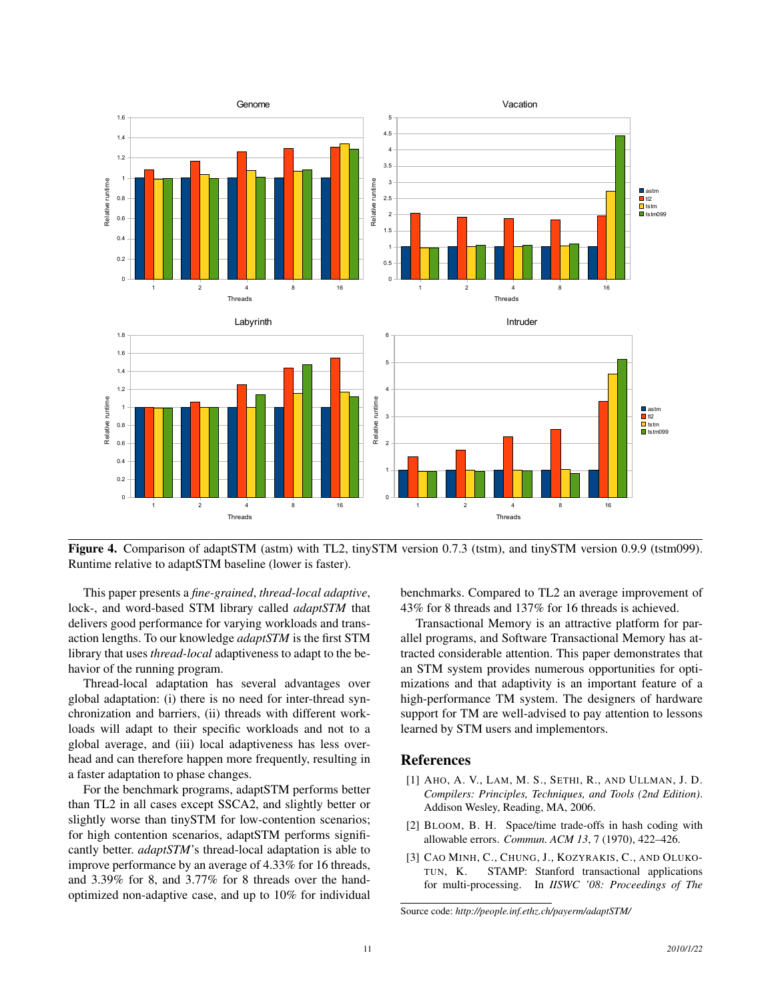

Figure 4. Comparison of adaptSTM (astm) with TL2, tinySTM version 0.7.3 (tstm), and tinySTM version 0.9.9 (tstm099). Runtime relative to adaptSTM baseline (lower is faster).

This paper presents a *fine-grained*, *thread-local adaptive*, lock-, and word-based STM library called *adaptSTM* that delivers good performance for varying workloads and transaction lengths. To our knowledge *adaptSTM* is the first STM library that uses *thread-local* adaptiveness to adapt to the behavior of the running program.

Thread-local adaptation has several advantages over global adaptation: (i) there is no need for inter-thread synchronization and barriers, (ii) threads with different workloads will adapt to their specific workloads and not to a global average, and (iii) local adaptiveness has less overhead and can therefore happen more frequently, resulting in a faster adaptation to phase changes.

For the benchmark programs, adaptSTM performs better than TL2 in all cases except SSCA2, and slightly better or slightly worse than tinySTM for low-contention scenarios; for high contention scenarios, adaptSTM performs significantly better. *adaptSTM*'s thread-local adaptation is able to improve performance by an average of 4.33% for 16 threads, and 3.39% for 8, and 3.77% for 8 threads over the handoptimized non-adaptive case, and up to 10% for individual benchmarks. Compared to TL2 an average improvement of 43% for 8 threads and 137% for 16 threads is achieved.

Transactional Memory is an attractive platform for parallel programs, and Software Transactional Memory has attracted considerable attention. This paper demonstrates that an STM system provides numerous opportunities for optimizations and that adaptivity is an important feature of a high-performance TM system. The designers of hardware support for TM are well-advised to pay attention to lessons learned by STM users and implementors.

# References

- [1] AHO, A. V., LAM, M. S., SETHI, R., AND ULLMAN, J. D. *Compilers: Principles, Techniques, and Tools (2nd Edition)*. Addison Wesley, Reading, MA, 2006.
- [2] BLOOM, B. H. Space/time trade-offs in hash coding with allowable errors. *Commun. ACM 13*, 7 (1970), 422–426.
- [3] CAO MINH, C., CHUNG, J., KOZYRAKIS, C., AND OLUKO-TUN, K. STAMP: Stanford transactional applications for multi-processing. In *IISWC '08: Proceedings of The*

Source code: *http://people.inf.ethz.ch/payerm/adaptSTM/*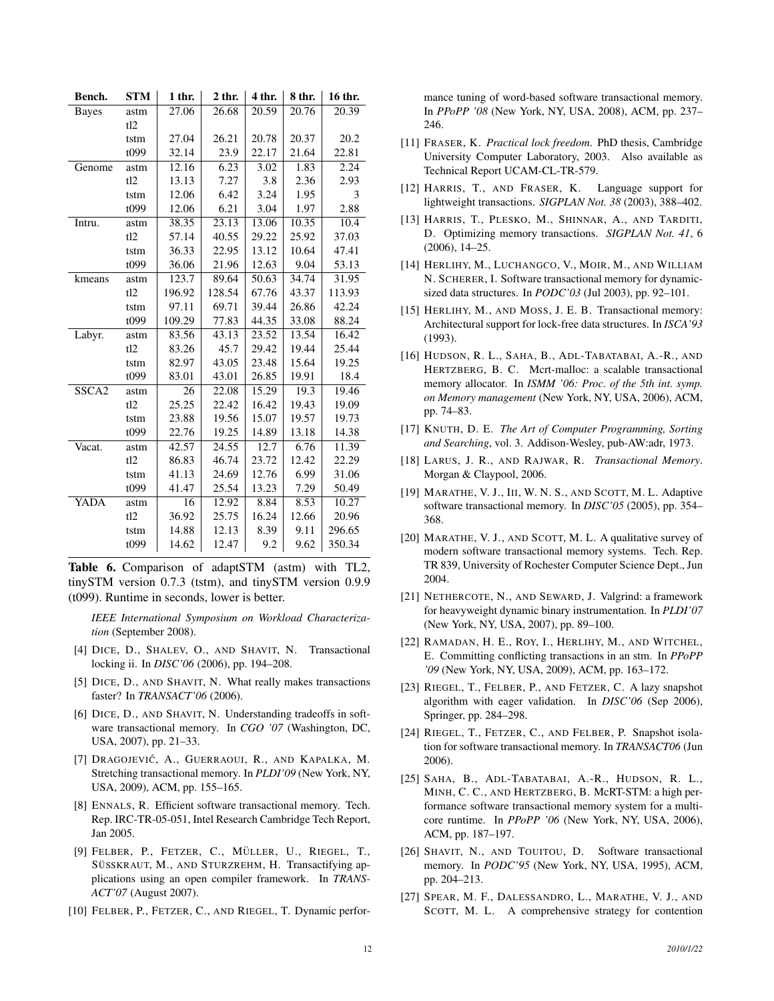| Bench.       | <b>STM</b> | $1$ thr. | $2$ thr. | 4 thr. | 8 thr. | 16 thr. |
|--------------|------------|----------|----------|--------|--------|---------|
| <b>Bayes</b> | astm       | 27.06    | 26.68    | 20.59  | 20.76  | 20.39   |
|              | tl2        |          |          |        |        |         |
|              | tstm       | 27.04    | 26.21    | 20.78  | 20.37  | 20.2    |
|              | t099       | 32.14    | 23.9     | 22.17  | 21.64  | 22.81   |
| Genome       | astm       | 12.16    | 6.23     | 3.02   | 1.83   | 2.24    |
|              | tl2        | 13.13    | 7.27     | 3.8    | 2.36   | 2.93    |
|              | tstm       | 12.06    | 6.42     | 3.24   | 1.95   | 3       |
|              | t099       | 12.06    | 6.21     | 3.04   | 1.97   | 2.88    |
| Intru.       | astm       | 38.35    | 23.13    | 13.06  | 10.35  | 10.4    |
|              | tl2        | 57.14    | 40.55    | 29.22  | 25.92  | 37.03   |
|              | tstm       | 36.33    | 22.95    | 13.12  | 10.64  | 47.41   |
|              | t099       | 36.06    | 21.96    | 12.63  | 9.04   | 53.13   |
| kmeans       | astm       | 123.7    | 89.64    | 50.63  | 34.74  | 31.95   |
|              | tl2        | 196.92   | 128.54   | 67.76  | 43.37  | 113.93  |
|              | tstm       | 97.11    | 69.71    | 39.44  | 26.86  | 42.24   |
|              | t099       | 109.29   | 77.83    | 44.35  | 33.08  | 88.24   |
| Labyr.       | astm       | 83.56    | 43.13    | 23.52  | 13.54  | 16.42   |
|              | tl2        | 83.26    | 45.7     | 29.42  | 19.44  | 25.44   |
|              | tstm       | 82.97    | 43.05    | 23.48  | 15.64  | 19.25   |
|              | t099       | 83.01    | 43.01    | 26.85  | 19.91  | 18.4    |
| SSCA2        | astm       | 26       | 22.08    | 15.29  | 19.3   | 19.46   |
|              | tl2        | 25.25    | 22.42    | 16.42  | 19.43  | 19.09   |
|              | tstm       | 23.88    | 19.56    | 15.07  | 19.57  | 19.73   |
|              | t099       | 22.76    | 19.25    | 14.89  | 13.18  | 14.38   |
| Vacat.       | astm       | 42.57    | 24.55    | 12.7   | 6.76   | 11.39   |
|              | tl2        | 86.83    | 46.74    | 23.72  | 12.42  | 22.29   |
|              | tstm       | 41.13    | 24.69    | 12.76  | 6.99   | 31.06   |
|              | t099       | 41.47    | 25.54    | 13.23  | 7.29   | 50.49   |
| YADA         | astm       | 16       | 12.92    | 8.84   | 8.53   | 10.27   |
|              | tl2        | 36.92    | 25.75    | 16.24  | 12.66  | 20.96   |
|              | tstm       | 14.88    | 12.13    | 8.39   | 9.11   | 296.65  |
|              | t099       | 14.62    | 12.47    | 9.2    | 9.62   | 350.34  |

Table 6. Comparison of adaptSTM (astm) with TL2, tinySTM version 0.7.3 (tstm), and tinySTM version 0.9.9 (t099). Runtime in seconds, lower is better.

*IEEE International Symposium on Workload Characterization* (September 2008).

- [4] DICE, D., SHALEV, O., AND SHAVIT, N. Transactional locking ii. In *DISC'06* (2006), pp. 194–208.
- [5] DICE, D., AND SHAVIT, N. What really makes transactions faster? In *TRANSACT'06* (2006).
- [6] DICE, D., AND SHAVIT, N. Understanding tradeoffs in software transactional memory. In *CGO '07* (Washington, DC, USA, 2007), pp. 21–33.
- [7] DRAGOJEVIC´, A., GUERRAOUI, R., AND KAPALKA, M. Stretching transactional memory. In *PLDI'09* (New York, NY, USA, 2009), ACM, pp. 155–165.
- [8] ENNALS, R. Efficient software transactional memory. Tech. Rep. IRC-TR-05-051, Intel Research Cambridge Tech Report, Jan 2005.
- [9] FELBER, P., FETZER, C., MÜLLER, U., RIEGEL, T., SÜSSKRAUT, M., AND STURZREHM, H. Transactifying applications using an open compiler framework. In *TRANS-ACT'07* (August 2007).
- [10] FELBER, P., FETZER, C., AND RIEGEL, T. Dynamic perfor-

mance tuning of word-based software transactional memory. In *PPoPP '08* (New York, NY, USA, 2008), ACM, pp. 237– 246.

- [11] FRASER, K. *Practical lock freedom*. PhD thesis, Cambridge University Computer Laboratory, 2003. Also available as Technical Report UCAM-CL-TR-579.
- [12] HARRIS, T., AND FRASER, K. Language support for lightweight transactions. *SIGPLAN Not. 38* (2003), 388–402.
- [13] HARRIS, T., PLESKO, M., SHINNAR, A., AND TARDITI, D. Optimizing memory transactions. *SIGPLAN Not. 41*, 6 (2006), 14–25.
- [14] HERLIHY, M., LUCHANGCO, V., MOIR, M., AND WILLIAM N. SCHERER, I. Software transactional memory for dynamicsized data structures. In *PODC'03* (Jul 2003), pp. 92–101.
- [15] HERLIHY, M., AND MOSS, J. E. B. Transactional memory: Architectural support for lock-free data structures. In *ISCA'93* (1993).
- [16] HUDSON, R. L., SAHA, B., ADL-TABATABAI, A.-R., AND HERTZBERG, B. C. Mcrt-malloc: a scalable transactional memory allocator. In *ISMM '06: Proc. of the 5th int. symp. on Memory management* (New York, NY, USA, 2006), ACM, pp. 74–83.
- [17] KNUTH, D. E. *The Art of Computer Programming, Sorting and Searching*, vol. 3. Addison-Wesley, pub-AW:adr, 1973.
- [18] LARUS, J. R., AND RAJWAR, R. *Transactional Memory*. Morgan & Claypool, 2006.
- [19] MARATHE, V. J., III, W. N. S., AND SCOTT, M. L. Adaptive software transactional memory. In *DISC'05* (2005), pp. 354– 368.
- [20] MARATHE, V. J., AND SCOTT, M. L. A qualitative survey of modern software transactional memory systems. Tech. Rep. TR 839, University of Rochester Computer Science Dept., Jun 2004.
- [21] NETHERCOTE, N., AND SEWARD, J. Valgrind: a framework for heavyweight dynamic binary instrumentation. In *PLDI'07* (New York, NY, USA, 2007), pp. 89–100.
- [22] RAMADAN, H. E., ROY, I., HERLIHY, M., AND WITCHEL, E. Committing conflicting transactions in an stm. In *PPoPP '09* (New York, NY, USA, 2009), ACM, pp. 163–172.
- [23] RIEGEL, T., FELBER, P., AND FETZER, C. A lazy snapshot algorithm with eager validation. In *DISC'06* (Sep 2006), Springer, pp. 284–298.
- [24] RIEGEL, T., FETZER, C., AND FELBER, P. Snapshot isolation for software transactional memory. In *TRANSACT06* (Jun 2006).
- [25] SAHA, B., ADL-TABATABAI, A.-R., HUDSON, R. L., MINH, C. C., AND HERTZBERG, B. McRT-STM: a high performance software transactional memory system for a multicore runtime. In *PPoPP '06* (New York, NY, USA, 2006), ACM, pp. 187–197.
- [26] SHAVIT, N., AND TOUITOU, D. Software transactional memory. In *PODC'95* (New York, NY, USA, 1995), ACM, pp. 204–213.
- [27] SPEAR, M. F., DALESSANDRO, L., MARATHE, V. J., AND SCOTT, M. L. A comprehensive strategy for contention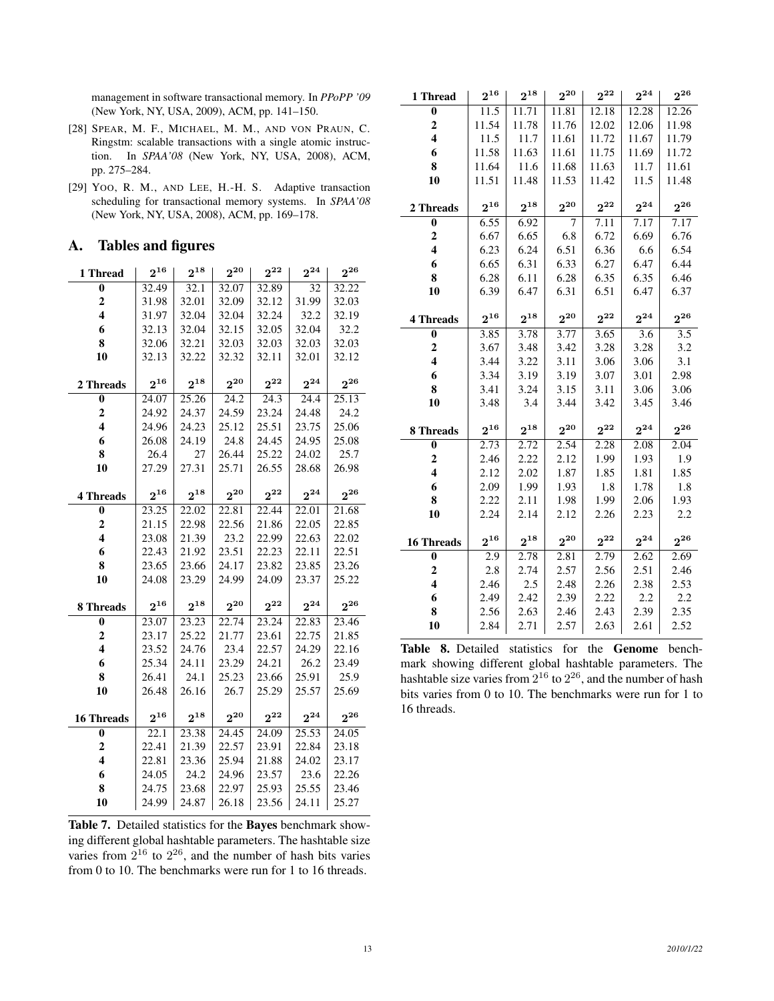management in software transactional memory. In *PPoPP '09* (New York, NY, USA, 2009), ACM, pp. 141–150.

- [28] SPEAR, M. F., MICHAEL, M. M., AND VON PRAUN, C. Ringstm: scalable transactions with a single atomic instruction. In *SPAA'08* (New York, NY, USA, 2008), ACM, pp. 275–284.
- [29] YOO, R. M., AND LEE, H.-H. S. Adaptive transaction scheduling for transactional memory systems. In *SPAA'08* (New York, NY, USA, 2008), ACM, pp. 169–178.

# A. Tables and figures

| 1 Thread                | $2^{16}$ | $2^{18}$ | $2^{20}$ | $2^{22}$ | $2^{24}$ | $2^{26}$ |
|-------------------------|----------|----------|----------|----------|----------|----------|
| $\bf{0}$                | 32.49    | 32.1     | 32.07    | 32.89    | 32       | 32.22    |
| $\overline{2}$          | 31.98    | 32.01    | 32.09    | 32.12    | 31.99    | 32.03    |
| $\overline{\mathbf{4}}$ | 31.97    | 32.04    | 32.04    | 32.24    | 32.2     | 32.19    |
| 6                       | 32.13    | 32.04    | 32.15    | 32.05    | 32.04    | 32.2     |
| 8                       | 32.06    | 32.21    | 32.03    | 32.03    | 32.03    | 32.03    |
| 10                      | 32.13    | 32.22    | 32.32    | 32.11    | 32.01    | 32.12    |
|                         |          |          |          |          |          |          |
| 2 Threads               | $2^{16}$ | $2^{18}$ | $2^{20}$ | $2^{22}$ | $2^{24}$ | $2^{26}$ |
| $\bf{0}$                | 24.07    | 25.26    | 24.2     | 24.3     | 24.4     | 25.13    |
| $\overline{2}$          | 24.92    | 24.37    | 24.59    | 23.24    | 24.48    | 24.2     |
| $\overline{\mathbf{4}}$ | 24.96    | 24.23    | 25.12    | 25.51    | 23.75    | 25.06    |
| 6                       | 26.08    | 24.19    | 24.8     | 24.45    | 24.95    | 25.08    |
| 8                       | 26.4     | 27       | 26.44    | 25.22    | 24.02    | 25.7     |
| 10                      | 27.29    | 27.31    | 25.71    | 26.55    | 28.68    | 26.98    |
|                         |          |          |          |          |          |          |
| <b>4 Threads</b>        | $2^{16}$ | $2^{18}$ | $2^{20}$ | $2^{22}$ | $2^{24}$ | $2^{26}$ |
| $\bf{0}$                | 23.25    | 22.02    | 22.81    | 22.44    | 22.01    | 21.68    |
| $\overline{2}$          | 21.15    | 22.98    | 22.56    | 21.86    | 22.05    | 22.85    |
| $\overline{\mathbf{4}}$ | 23.08    | 21.39    | 23.2     | 22.99    | 22.63    | 22.02    |
| 6                       | 22.43    | 21.92    | 23.51    | 22.23    | 22.11    | 22.51    |
| 8                       | 23.65    | 23.66    | 24.17    | 23.82    | 23.85    | 23.26    |
| 10                      | 24.08    | 23.29    | 24.99    | 24.09    | 23.37    | 25.22    |
|                         |          |          |          |          |          |          |
| 8 Threads               | $2^{16}$ | $2^{18}$ | $2^{20}$ | $2^{22}$ | $2^{24}$ | $2^{26}$ |
| $\bf{0}$                | 23.07    | 23.23    | 22.74    | 23.24    | 22.83    | 23.46    |
| $\overline{2}$          | 23.17    | 25.22    | 21.77    | 23.61    | 22.75    | 21.85    |
| $\overline{\mathbf{4}}$ | 23.52    | 24.76    | 23.4     | 22.57    | 24.29    | 22.16    |
| 6                       | 25.34    | 24.11    | 23.29    | 24.21    | 26.2     | 23.49    |
| 8                       | 26.41    | 24.1     | 25.23    | 23.66    | 25.91    | 25.9     |
| 10                      | 26.48    | 26.16    | 26.7     | 25.29    | 25.57    | 25.69    |
|                         |          |          |          |          |          |          |
| <b>16 Threads</b>       | $2^{16}$ | $2^{18}$ | $2^{20}$ | $2^{22}$ | $2^{24}$ | $2^{26}$ |
| $\bf{0}$                | 22.1     | 23.38    | 24.45    | 24.09    | 25.53    | 24.05    |
| $\overline{2}$          | 22.41    | 21.39    | 22.57    | 23.91    | 22.84    | 23.18    |
| $\overline{\mathbf{4}}$ | 22.81    | 23.36    | 25.94    | 21.88    | 24.02    | 23.17    |
| 6                       | 24.05    | 24.2     | 24.96    | 23.57    | 23.6     | 22.26    |
| 8                       | 24.75    | 23.68    | 22.97    | 25.93    | 25.55    | 23.46    |
| 10                      | 24.99    | 24.87    | 26.18    | 23.56    | 24.11    | 25.27    |

Table 7. Detailed statistics for the Bayes benchmark showing different global hashtable parameters. The hashtable size varies from  $2^{16}$  to  $2^{26}$ , and the number of hash bits varies from 0 to 10. The benchmarks were run for 1 to 16 threads.

| 1 Thread                | $2^{16}$ | $2^{18}$ | $2^{20}$ | $2^{22}$ | $2^{24}$         | $2^{26}$ |
|-------------------------|----------|----------|----------|----------|------------------|----------|
| $\bf{0}$                | 11.5     | 11.71    | 11.81    | 12.18    | 12.28            | 12.26    |
| $\mathbf{2}$            | 11.54    | 11.78    | 11.76    | 12.02    | 12.06            | 11.98    |
| $\overline{\mathbf{4}}$ | 11.5     | 11.7     | 11.61    | 11.72    | 11.67            | 11.79    |
| 6                       | 11.58    | 11.63    | 11.61    | 11.75    | 11.69            | 11.72    |
| 8                       | 11.64    | 11.6     | 11.68    | 11.63    | 11.7             | 11.61    |
| 10                      | 11.51    | 11.48    | 11.53    | 11.42    | 11.5             | 11.48    |
|                         |          |          |          |          |                  |          |
| 2 Threads               | $2^{16}$ | $2^{18}$ | $2^{20}$ | $2^{22}$ | $2^{24}$         | $2^{26}$ |
| $\bf{0}$                | 6.55     | 6.92     | 7        | 7.11     | 7.17             | 7.17     |
| 2                       | 6.67     | 6.65     | 6.8      | 6.72     | 6.69             | 6.76     |
| $\overline{\mathbf{4}}$ | 6.23     | 6.24     | 6.51     | 6.36     | 6.6              | 6.54     |
| 6                       | 6.65     | 6.31     | 6.33     | 6.27     | 6.47             | 6.44     |
| 8                       | 6.28     | 6.11     | 6.28     | 6.35     | 6.35             | 6.46     |
| 10                      | 6.39     | 6.47     | 6.31     | 6.51     | 6.47             | 6.37     |
|                         |          |          |          |          |                  |          |
| <b>4 Threads</b>        | $2^{16}$ | $2^{18}$ | $2^{20}$ | $2^{22}$ | $2^{24}$         | $2^{26}$ |
| $\bf{0}$                | 3.85     | 3.78     | 3.77     | 3.65     | $\overline{3.6}$ | 3.5      |
| $\overline{c}$          | 3.67     | 3.48     | 3.42     | 3.28     | 3.28             | 3.2      |
| $\overline{\mathbf{4}}$ | 3.44     | 3.22     | 3.11     | 3.06     | 3.06             | 3.1      |
| 6                       | 3.34     | 3.19     | 3.19     | 3.07     | 3.01             | 2.98     |
| 8                       | 3.41     | 3.24     | 3.15     | 3.11     | 3.06             | 3.06     |
| 10                      | 3.48     | 3.4      | 3.44     | 3.42     | 3.45             | 3.46     |
|                         |          |          |          |          |                  |          |
| 8 Threads               | $2^{16}$ | $2^{18}$ | $2^{20}$ | $2^{22}$ | $2^{24}$         | $2^{26}$ |
| 0                       | 2.73     | 2.72     | 2.54     | 2.28     | 2.08             | 2.04     |
| $\mathbf{2}$            | 2.46     | 2.22     | 2.12     | 1.99     | 1.93             | 1.9      |
| $\overline{\mathbf{4}}$ | 2.12     | 2.02     | 1.87     | 1.85     | 1.81             | 1.85     |
| 6                       | 2.09     | 1.99     | 1.93     | 1.8      | 1.78             | 1.8      |
| 8                       | 2.22     | 2.11     | 1.98     | 1.99     | 2.06             | 1.93     |
| 10                      | 2.24     | 2.14     | 2.12     | 2.26     | 2.23             | 2.2      |
|                         |          |          |          |          |                  |          |
| <b>16 Threads</b>       | $2^{16}$ | $2^{18}$ | $2^{20}$ | $2^{22}$ | $2^{24}$         | $2^{26}$ |
| 0                       | 2.9      | 2.78     | 2.81     | 2.79     | 2.62             | 2.69     |
| $\overline{2}$          | 2.8      | 2.74     | 2.57     | 2.56     | 2.51             | 2.46     |
| $\overline{\mathbf{4}}$ | 2.46     | 2.5      | 2.48     | 2.26     | 2.38             | 2.53     |
| 6                       | 2.49     | 2.42     | 2.39     | 2.22     | 2.2              | 2.2      |
| 8                       | 2.56     | 2.63     | 2.46     | 2.43     | 2.39             | 2.35     |
| 10                      | 2.84     | 2.71     | 2.57     | 2.63     | 2.61             | 2.52     |

Table 8. Detailed statistics for the Genome benchmark showing different global hashtable parameters. The hashtable size varies from  $2^{16}$  to  $2^{26}$ , and the number of hash bits varies from 0 to 10. The benchmarks were run for 1 to 16 threads.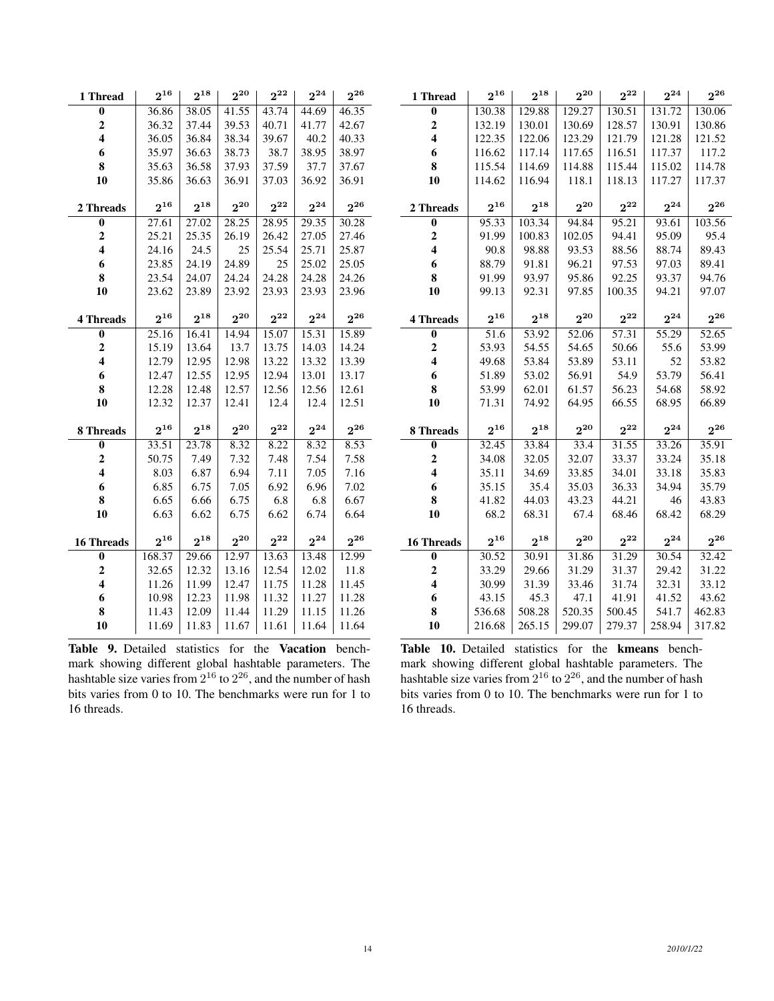| 1 Thread                | $2^{16}$ | $2^{18}$ | $2^{20}$ | $2^{22}$ | $2^{24}$ | $2^{26}$ |
|-------------------------|----------|----------|----------|----------|----------|----------|
| $\bf{0}$                | 36.86    | 38.05    | 41.55    | 43.74    | 44.69    | 46.35    |
| $\mathbf{2}$            | 36.32    | 37.44    | 39.53    | 40.71    | 41.77    | 42.67    |
| $\overline{\mathbf{4}}$ | 36.05    | 36.84    | 38.34    | 39.67    | 40.2     | 40.33    |
| 6                       | 35.97    | 36.63    | 38.73    | 38.7     | 38.95    | 38.97    |
| 8                       | 35.63    | 36.58    | 37.93    | 37.59    | 37.7     | 37.67    |
| 10                      | 35.86    | 36.63    | 36.91    | 37.03    | 36.92    | 36.91    |
|                         |          |          |          |          |          |          |
| 2 Threads               | $2^{16}$ | $2^{18}$ | $2^{20}$ | $2^{22}$ | $2^{24}$ | $2^{26}$ |
| $\bf{0}$                | 27.61    | 27.02    | 28.25    | 28.95    | 29.35    | 30.28    |
| $\overline{c}$          | 25.21    | 25.35    | 26.19    | 26.42    | 27.05    | 27.46    |
| $\overline{\mathbf{4}}$ | 24.16    | 24.5     | 25       | 25.54    | 25.71    | 25.87    |
| 6                       | 23.85    | 24.19    | 24.89    | 25       | 25.02    | 25.05    |
| 8                       | 23.54    | 24.07    | 24.24    | 24.28    | 24.28    | 24.26    |
| 10                      | 23.62    | 23.89    | 23.92    | 23.93    | 23.93    | 23.96    |
|                         |          |          |          |          |          |          |
| <b>4 Threads</b>        | $2^{16}$ | $2^{18}$ | $2^{20}$ | $2^{22}$ | $2^{24}$ | $2^{26}$ |
| $\bf{0}$                | 25.16    | 16.41    | 14.94    | 15.07    | 15.31    | 15.89    |
| $\overline{2}$          | 15.19    | 13.64    | 13.7     | 13.75    | 14.03    | 14.24    |
| $\overline{\mathbf{4}}$ | 12.79    | 12.95    | 12.98    | 13.22    | 13.32    | 13.39    |
| 6                       | 12.47    | 12.55    | 12.95    | 12.94    | 13.01    | 13.17    |
| 8                       | 12.28    | 12.48    | 12.57    | 12.56    | 12.56    | 12.61    |
| 10                      | 12.32    | 12.37    | 12.41    | 12.4     | 12.4     | 12.51    |
|                         |          |          |          |          |          |          |
| 8 Threads               | $2^{16}$ | $2^{18}$ | $2^{20}$ | $2^{22}$ | $2^{24}$ | $2^{26}$ |
| $\bf{0}$                | 33.51    | 23.78    | 8.32     | 8.22     | 8.32     | 8.53     |
| $\mathbf 2$             | 50.75    | 7.49     | 7.32     | 7.48     | 7.54     | 7.58     |
| $\overline{\mathbf{4}}$ | 8.03     | 6.87     | 6.94     | 7.11     | 7.05     | 7.16     |
| 6                       | 6.85     | 6.75     | 7.05     | 6.92     | 6.96     | 7.02     |
| 8                       | 6.65     | 6.66     | 6.75     | 6.8      | 6.8      | 6.67     |
| 10                      | 6.63     | 6.62     | 6.75     | 6.62     | 6.74     | 6.64     |
|                         |          |          |          |          |          |          |
| <b>16 Threads</b>       | $2^{16}$ | $2^{18}$ | $2^{20}$ | $2^{22}$ | $2^{24}$ | $2^{26}$ |
| $\bf{0}$                | 168.37   | 29.66    | 12.97    | 13.63    | 13.48    | 12.99    |
| $\overline{2}$          | 32.65    | 12.32    | 13.16    | 12.54    | 12.02    | 11.8     |
| $\overline{\mathbf{4}}$ | 11.26    | 11.99    | 12.47    | 11.75    | 11.28    | 11.45    |
| 6                       | 10.98    | 12.23    | 11.98    | 11.32    | 11.27    | 11.28    |
| 8                       | 11.43    | 12.09    | 11.44    | 11.29    | 11.15    | 11.26    |
| 10                      | 11.69    | 11.83    | 11.67    | 11.61    | 11.64    | 11.64    |

Table 9. Detailed statistics for the Vacation benchmark showing different global hashtable parameters. The hashtable size varies from  $2^{16}$  to  $2^{26}$ , and the number of hash bits varies from 0 to 10. The benchmarks were run for 1 to 16 threads.

| 1 Thread                | $2^{16}$          | $2^{18}$ | $2^{20}$ | $2^{22}$ | $2^{24}$ | $2^{26}$ |
|-------------------------|-------------------|----------|----------|----------|----------|----------|
| $\bf{0}$                | 130.38            | 129.88   | 129.27   | 130.51   | 131.72   | 130.06   |
| $\overline{c}$          | 132.19            | 130.01   | 130.69   | 128.57   | 130.91   | 130.86   |
| $\overline{\mathbf{4}}$ | 122.35            | 122.06   | 123.29   | 121.79   | 121.28   | 121.52   |
| 6                       | 116.62            | 117.14   | 117.65   | 116.51   | 117.37   | 117.2    |
| 8                       | 115.54            | 114.69   | 114.88   | 115.44   | 115.02   | 114.78   |
| 10                      | 114.62            | 116.94   | 118.1    | 118.13   | 117.27   | 117.37   |
| 2 Threads               | $2^{16}$          | $2^{18}$ | $2^{20}$ | $2^{22}$ | $2^{24}$ | $2^{26}$ |
| 0                       | 95.33             | 103.34   | 94.84    | 95.21    | 93.61    | 103.56   |
| $\mathbf{2}$            | 91.99             | 100.83   | 102.05   | 94.41    | 95.09    | 95.4     |
| $\overline{\mathbf{4}}$ | 90.8              | 98.88    | 93.53    | 88.56    | 88.74    | 89.43    |
| 6                       | 88.79             | 91.81    | 96.21    | 97.53    | 97.03    | 89.41    |
| 8                       | 91.99             | 93.97    | 95.86    | 92.25    | 93.37    | 94.76    |
| 10                      | 99.13             | 92.31    | 97.85    | 100.35   | 94.21    | 97.07    |
|                         |                   |          |          |          |          |          |
| <b>4 Threads</b>        | $2^{16}$          | $2^{18}$ | $2^{20}$ | $2^{22}$ | $2^{24}$ | $2^{26}$ |
| $\bf{0}$                | 51.6              | 53.92    | 52.06    | 57.31    | 55.29    | 52.65    |
| $\boldsymbol{2}$        | 53.93             | 54.55    | 54.65    | 50.66    | 55.6     | 53.99    |
| $\overline{\mathbf{4}}$ | 49.68             | 53.84    | 53.89    | 53.11    | 52       | 53.82    |
| 6                       | 51.89             | 53.02    | 56.91    | 54.9     | 53.79    | 56.41    |
| 8                       | 53.99             | 62.01    | 61.57    | 56.23    | 54.68    | 58.92    |
| 10                      | 71.31             | 74.92    | 64.95    | 66.55    | 68.95    | 66.89    |
| 8 Threads               | $2^{16}$          | $2^{18}$ | $2^{20}$ | $2^{22}$ | $2^{24}$ | $2^{26}$ |
| $\bf{0}$                | 32.45             | 33.84    | 33.4     | 31.55    | 33.26    | 35.91    |
| $\overline{c}$          | 34.08             | 32.05    | 32.07    | 33.37    | 33.24    | 35.18    |
| $\overline{\mathbf{4}}$ | 35.11             | 34.69    | 33.85    | 34.01    | 33.18    | 35.83    |
| 6                       | 35.15             | 35.4     | 35.03    | 36.33    | 34.94    | 35.79    |
| 8                       | 41.82             | 44.03    | 43.23    | 44.21    | 46       | 43.83    |
| 10                      | 68.2              | 68.31    | 67.4     | 68.46    | 68.42    | 68.29    |
|                         |                   |          |          |          |          |          |
| <b>16 Threads</b>       | $2^{16}$          | $2^{18}$ | $2^{20}$ | $2^{22}$ | $2^{24}$ | $2^{26}$ |
| $\bf{0}$                | $\frac{30.52}{ }$ | 30.91    | 31.86    | 31.29    | 30.54    | 32.42    |
| $\overline{c}$          | 33.29             | 29.66    | 31.29    | 31.37    | 29.42    | 31.22    |
| $\overline{\mathbf{4}}$ | 30.99             | 31.39    | 33.46    | 31.74    | 32.31    | 33.12    |
| 6                       | 43.15             | 45.3     | 47.1     | 41.91    | 41.52    | 43.62    |
| 8                       | 536.68            | 508.28   | 520.35   | 500.45   | 541.7    | 462.83   |
| 10                      | 216.68            | 265.15   | 299.07   | 279.37   | 258.94   | 317.82   |

Table 10. Detailed statistics for the kmeans benchmark showing different global hashtable parameters. The hashtable size varies from  $2^{16}$  to  $2^{26}$ , and the number of hash bits varies from 0 to 10. The benchmarks were run for 1 to 16 threads.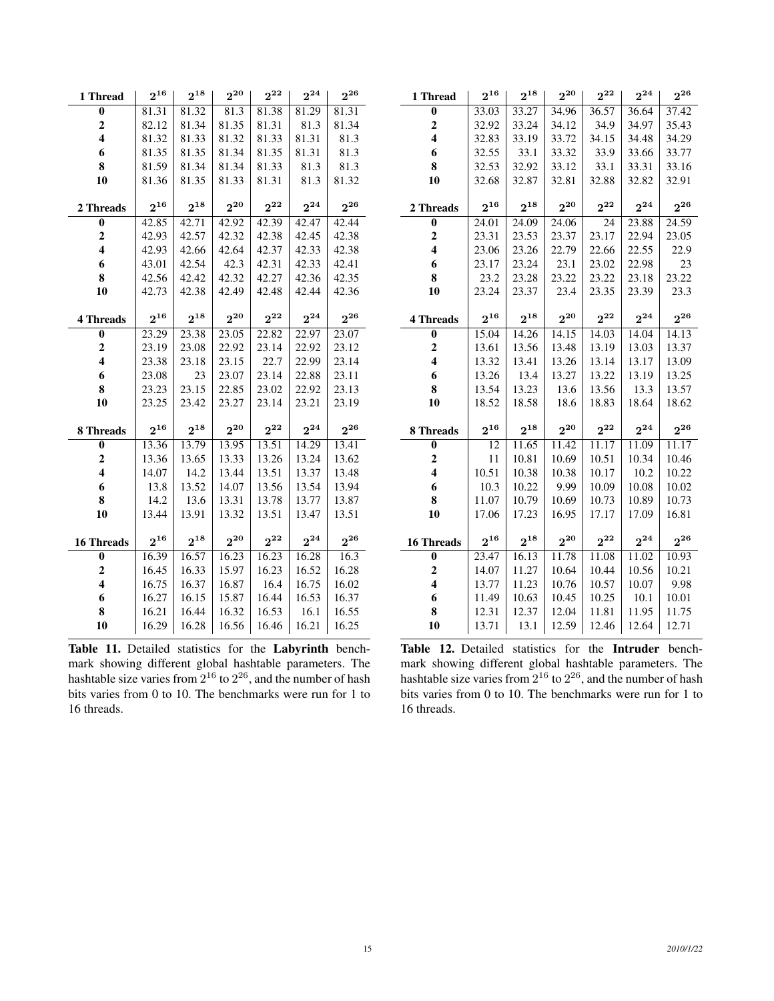| 1 Thread                | $2^{16}$ | $2^{18}$          | $2^{20}$ | $2^{22}$ | $2^{24}$ | $2^{26}$ |  |
|-------------------------|----------|-------------------|----------|----------|----------|----------|--|
| $\bf{0}$                | 81.31    | 81.32             | 81.3     | 81.38    | 81.29    | 81.31    |  |
| $\overline{\mathbf{c}}$ | 82.12    | 81.34             | 81.35    | 81.31    | 81.3     | 81.34    |  |
| $\overline{\mathbf{4}}$ | 81.32    | 81.33             | 81.32    | 81.33    | 81.31    | 81.3     |  |
| 6                       | 81.35    | 81.35             | 81.34    | 81.35    | 81.31    | 81.3     |  |
| 8                       | 81.59    | 81.34             | 81.34    | 81.33    | 81.3     | 81.3     |  |
| 10                      | 81.36    | 81.35             | 81.33    | 81.31    | 81.3     | 81.32    |  |
|                         |          |                   |          |          |          |          |  |
| 2 Threads               | $2^{16}$ | $2^{18}$          | $2^{20}$ | $2^{22}$ | $2^{24}$ | $2^{26}$ |  |
| $\bf{0}$                | 42.85    | 42.71             | 42.92    | 42.39    | 42.47    | 42.44    |  |
| $\boldsymbol{2}$        | 42.93    | 42.57             | 42.32    | 42.38    | 42.45    | 42.38    |  |
| $\overline{\mathbf{4}}$ | 42.93    | 42.66             | 42.64    | 42.37    | 42.33    | 42.38    |  |
| 6                       | 43.01    | 42.54             | 42.3     | 42.31    | 42.33    | 42.41    |  |
| 8                       | 42.56    | 42.42             | 42.32    | 42.27    | 42.36    | 42.35    |  |
| 10                      | 42.73    | 42.38             | 42.49    | 42.48    | 42.44    | 42.36    |  |
|                         |          |                   |          |          |          |          |  |
| <b>4 Threads</b>        | $2^{16}$ | $2^{18}$          | $2^{20}$ | $2^{22}$ | $2^{24}$ | $2^{26}$ |  |
| $\overline{\mathbf{0}}$ | 23.29    | 23.38             | 23.05    | 22.82    | 22.97    | 23.07    |  |
| $\overline{\mathbf{c}}$ | 23.19    | 23.08             | 22.92    | 23.14    | 22.92    | 23.12    |  |
| $\overline{\mathbf{4}}$ | 23.38    | 23.18             | 23.15    | 22.7     | 22.99    | 23.14    |  |
| 6                       | 23.08    | 23                | 23.07    | 23.14    | 22.88    | 23.11    |  |
| 8                       | 23.23    | 23.15             | 22.85    | 23.02    | 22.92    | 23.13    |  |
| 10                      | 23.25    | 23.42             | 23.27    | 23.14    | 23.21    | 23.19    |  |
|                         |          |                   |          |          |          |          |  |
| 8 Threads               | $2^{16}$ | $2^{18}$          | $2^{20}$ | $2^{22}$ | $2^{24}$ | $2^{26}$ |  |
| $\bf{0}$                | 13.36    | 13.79             | 13.95    | 13.51    | 14.29    | 13.41    |  |
| $\overline{\mathbf{c}}$ | 13.36    | 13.65             | 13.33    | 13.26    | 13.24    | 13.62    |  |
| $\overline{\mathbf{4}}$ | 14.07    | 14.2              | 13.44    | 13.51    | 13.37    | 13.48    |  |
| 6                       | 13.8     | 13.52             | 14.07    | 13.56    | 13.54    | 13.94    |  |
| 8                       | 14.2     | 13.6              | 13.31    | 13.78    | 13.77    | 13.87    |  |
| 10                      | 13.44    | 13.91             | 13.32    | 13.51    | 13.47    | 13.51    |  |
|                         |          |                   |          |          |          |          |  |
| <b>16 Threads</b>       | $2^{16}$ | $\mathbf{2}^{18}$ | $2^{20}$ | $2^{22}$ | $2^{24}$ | $2^{26}$ |  |
| $\bf{0}$                | 16.39    | 16.57             | 16.23    | 16.23    | 16.28    | 16.3     |  |
| $\overline{2}$          | 16.45    | 16.33             | 15.97    | 16.23    | 16.52    | 16.28    |  |
| $\overline{\mathbf{4}}$ | 16.75    | 16.37             | 16.87    | 16.4     | 16.75    | 16.02    |  |
| 6                       | 16.27    | 16.15             | 15.87    | 16.44    | 16.53    | 16.37    |  |
| 8                       | 16.21    | 16.44             | 16.32    | 16.53    | 16.1     | 16.55    |  |
| 10                      | 16.29    | 16.28             | 16.56    | 16.46    | 16.21    | 16.25    |  |

Table 11. Detailed statistics for the Labyrinth benchmark showing different global hashtable parameters. The hashtable size varies from  $2^{16}$  to  $2^{26}$ , and the number of hash bits varies from 0 to 10. The benchmarks were run for 1 to 16 threads.

| 1 Thread                | $2^{16}$ | $2^{18}$ | $2^{20}$ | $2^{22}$ | $2^{24}$ | $2^{26}$           |
|-------------------------|----------|----------|----------|----------|----------|--------------------|
| $\bf{0}$                | 33.03    | 33.27    | 34.96    | 36.57    | 36.64    | 37.42              |
| $\boldsymbol{2}$        | 32.92    | 33.24    | 34.12    | 34.9     | 34.97    | 35.43              |
| 4                       | 32.83    | 33.19    | 33.72    | 34.15    | 34.48    | 34.29              |
| 6                       | 32.55    | 33.1     | 33.32    | 33.9     | 33.66    | 33.77              |
| 8                       | 32.53    | 32.92    | 33.12    | 33.1     | 33.31    | 33.16              |
| 10                      | 32.68    | 32.87    | 32.81    | 32.88    | 32.82    | 32.91              |
| 2 Threads               | $2^{16}$ | $2^{18}$ | $2^{20}$ | $2^{22}$ | $2^{24}$ | $2^{26}$           |
| $\bf{0}$                | 24.01    | 24.09    | 24.06    | 24       | 23.88    | $\overline{24.59}$ |
| $\overline{2}$          | 23.31    | 23.53    | 23.37    | 23.17    | 22.94    | 23.05              |
| $\overline{\mathbf{4}}$ | 23.06    | 23.26    | 22.79    | 22.66    | 22.55    | 22.9               |
| 6                       | 23.17    | 23.24    | 23.1     | 23.02    | 22.98    | 23                 |
| 8                       | 23.2     | 23.28    | 23.22    | 23.22    | 23.18    | 23.22              |
| 10                      | 23.24    | 23.37    | 23.4     | 23.35    | 23.39    | 23.3               |
|                         |          |          |          |          |          |                    |
| <b>4 Threads</b>        | $2^{16}$ | $2^{18}$ | $2^{20}$ | $2^{22}$ | $2^{24}$ | $2^{26}$           |
| 0                       | 15.04    | 14.26    | 14.15    | 14.03    | 14.04    | 14.13              |
| $\mathbf{2}$            | 13.61    | 13.56    | 13.48    | 13.19    | 13.03    | 13.37              |
| $\overline{\mathbf{4}}$ | 13.32    | 13.41    | 13.26    | 13.14    | 13.17    | 13.09              |
| 6                       | 13.26    | 13.4     | 13.27    | 13.22    | 13.19    | 13.25              |
| 8                       | 13.54    | 13.23    | 13.6     | 13.56    | 13.3     | 13.57              |
| 10                      | 18.52    | 18.58    | 18.6     | 18.83    | 18.64    | 18.62              |
| 8 Threads               | $2^{16}$ | $2^{18}$ | $2^{20}$ | $2^{22}$ | $2^{24}$ | $2^{26}$           |
| 0                       | 12       | 11.65    | 11.42    | 11.17    | 11.09    | 11.17              |
| $\overline{2}$          | 11       | 10.81    | 10.69    | 10.51    | 10.34    | 10.46              |
| $\overline{\mathbf{4}}$ | 10.51    | 10.38    | 10.38    | 10.17    | 10.2     | 10.22              |
| 6                       | 10.3     | 10.22    | 9.99     | 10.09    | 10.08    | 10.02              |
| 8                       | 11.07    | 10.79    | 10.69    | 10.73    | 10.89    | 10.73              |
| 10                      | 17.06    | 17.23    | 16.95    | 17.17    | 17.09    | 16.81              |
| <b>16 Threads</b>       | $2^{16}$ | $2^{18}$ | $2^{20}$ | $2^{22}$ | $2^{24}$ | $2^{26}$           |
| 0                       | 23.47    | 16.13    | 11.78    | 11.08    | 11.02    | 10.93              |
| $\overline{2}$          | 14.07    | 11.27    | 10.64    | 10.44    | 10.56    | 10.21              |
| $\overline{\mathbf{4}}$ | 13.77    | 11.23    | 10.76    | 10.57    | 10.07    | 9.98               |
| 6                       | 11.49    | 10.63    | 10.45    | 10.25    | 10.1     | 10.01              |
| 8                       | 12.31    | 12.37    | 12.04    | 11.81    | 11.95    | 11.75              |
| 10                      | 13.71    | 13.1     | 12.59    | 12.46    | 12.64    | 12.71              |

Table 12. Detailed statistics for the Intruder benchmark showing different global hashtable parameters. The hashtable size varies from  $2^{16}$  to  $2^{26}$ , and the number of hash bits varies from 0 to 10. The benchmarks were run for 1 to 16 threads.